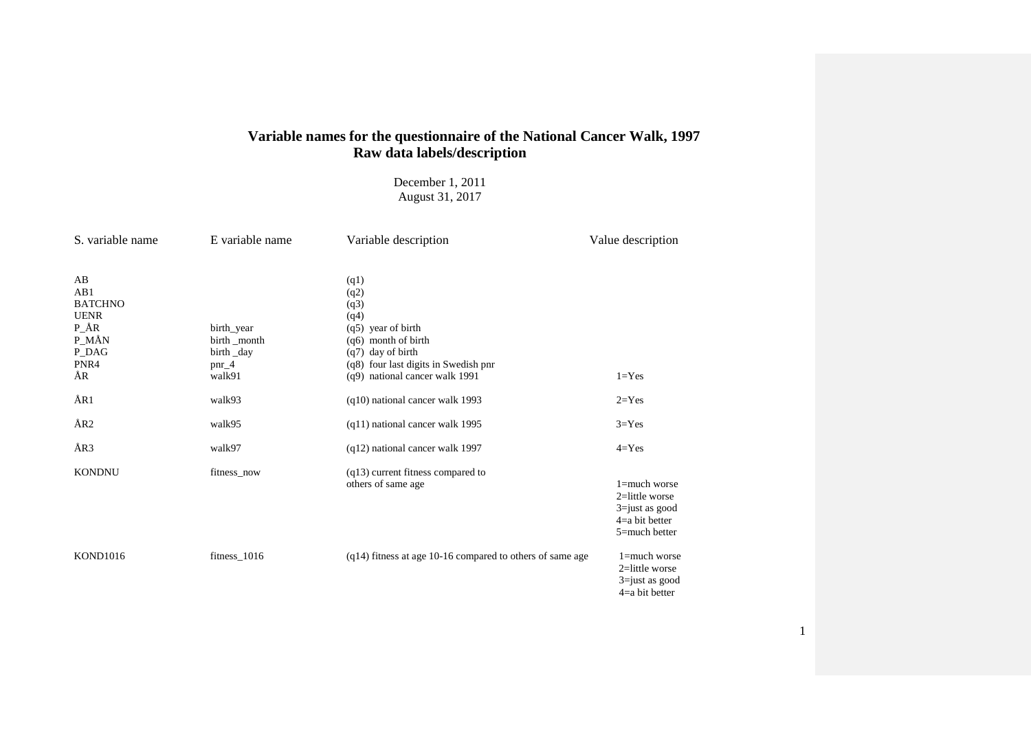# **Variable names for the questionnaire of the National Cancer Walk, 1997 Raw data labels/description**

# December 1, 2011 August 31, 2017

| S. variable name                                                                       | E variable name                                                       | Variable description                                                                                                                                                         | Value description                                                                             |
|----------------------------------------------------------------------------------------|-----------------------------------------------------------------------|------------------------------------------------------------------------------------------------------------------------------------------------------------------------------|-----------------------------------------------------------------------------------------------|
| AB<br>AB1<br><b>BATCHNO</b><br><b>UENR</b><br>$P_A$ ÅR<br>P_MÅN<br>P_DAG<br>PNR4<br>ÅR | birth_year<br>birth _month<br>birth _day<br>$\text{pnr}\_4$<br>walk91 | (q1)<br>(q2)<br>(q3)<br>(q4)<br>$(q5)$ year of birth<br>(q6) month of birth<br>$(q7)$ day of birth<br>(q8) four last digits in Swedish pnr<br>(q9) national cancer walk 1991 | $1 = Yes$                                                                                     |
| ÅR1                                                                                    | walk93                                                                | (q10) national cancer walk 1993                                                                                                                                              | $2 = Yes$                                                                                     |
| ÅR <sub>2</sub>                                                                        | walk95                                                                | (q11) national cancer walk 1995                                                                                                                                              | $3 = Yes$                                                                                     |
| ÅR3                                                                                    | walk97                                                                | (q12) national cancer walk 1997                                                                                                                                              | $4 = Yes$                                                                                     |
| <b>KONDNU</b>                                                                          | fitness_now                                                           | $(q13)$ current fitness compared to<br>others of same age                                                                                                                    | $1 =$ much worse<br>2=little worse<br>$3 =$ just as good<br>$4=a$ bit better<br>5=much better |
| <b>KOND1016</b>                                                                        | $fitness_1016$                                                        | $(q14)$ fitness at age 10-16 compared to others of same age                                                                                                                  | $1 =$ much worse<br>$2$ =little worse<br>$3 = just$ as good<br>$4=a$ bit better               |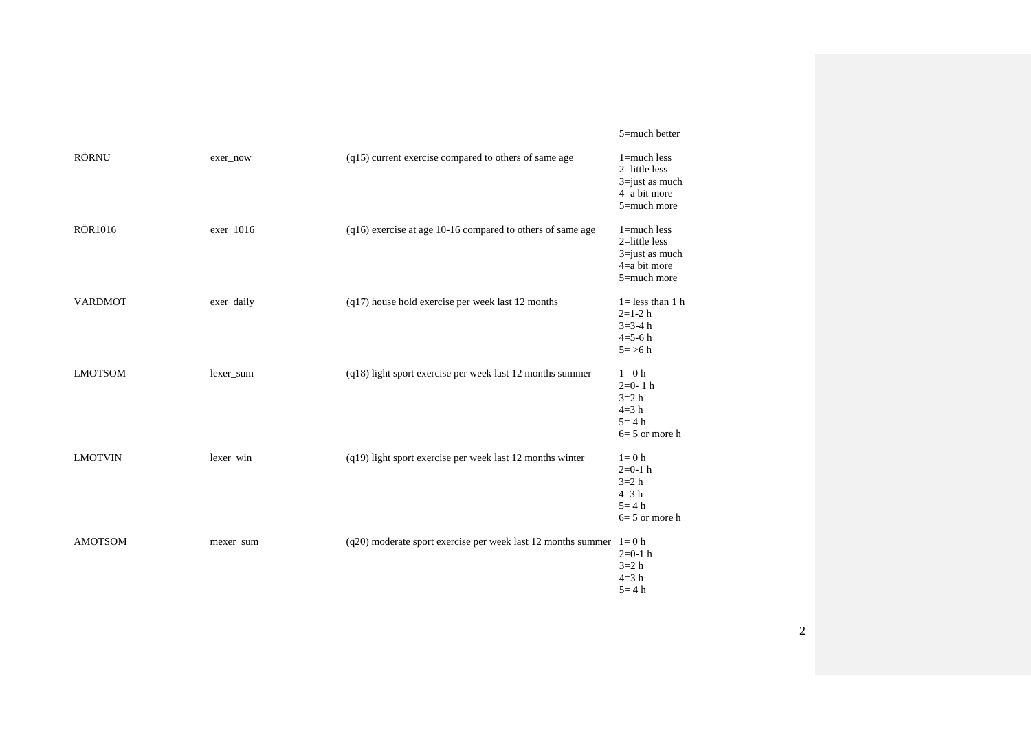#### 5=much better

| <b>RÖRNU</b>   | exer_now   | (q15) current exercise compared to others of same age                  | $1 =$ much less<br>$2$ =little less<br>$3 = just$ as much<br>$4=a$ bit more<br>5=much more |
|----------------|------------|------------------------------------------------------------------------|--------------------------------------------------------------------------------------------|
| <b>RÖR1016</b> | exer_1016  | (q16) exercise at age 10-16 compared to others of same age             | $1 =$ much less<br>$2$ =little less<br>3=just as much<br>$4=a$ bit more<br>5=much more     |
| <b>VARDMOT</b> | exer_daily | $(q17)$ house hold exercise per week last 12 months                    | $1 =$ less than 1 h<br>$2=1-2 h$<br>$3 = 3 - 4 h$<br>$4 = 5 - 6 h$<br>$5 = > 6 h$          |
| <b>LMOTSOM</b> | lexer_sum  | (q18) light sport exercise per week last 12 months summer              | $l = 0$ h<br>$2=0-1 h$<br>$3=2 h$<br>$4=3 h$<br>$5 = 4 h$<br>$6=5$ or more h               |
| <b>LMOTVIN</b> | lexer_win  | (q19) light sport exercise per week last 12 months winter              | $l = 0$ h<br>$2=0-1$ h<br>$3=2 h$<br>$4=3 h$<br>$5 = 4 h$<br>$6=5$ or more h               |
| <b>AMOTSOM</b> | mexer_sum  | $(q20)$ moderate sport exercise per week last 12 months summer $1=0$ h | $2=0-1$ h<br>$3=2 h$<br>$4=3 h$<br>$5 = 4 h$                                               |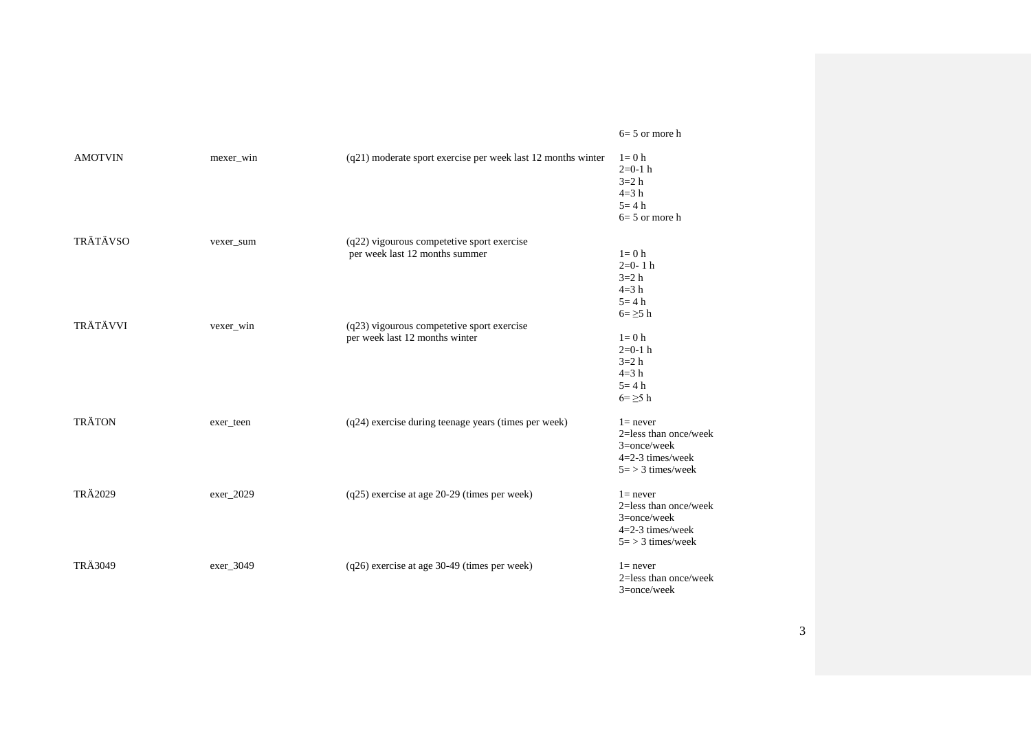#### 6= 5 or more h

| <b>AMOTVIN</b>  | mexer_win | $(q21)$ moderate sport exercise per week last 12 months winter | $l=0$ h<br>$2=0-1$ h<br>$3=2 h$<br>$4=3 h$<br>$5 = 4 h$<br>$6=5$ or more h                         |
|-----------------|-----------|----------------------------------------------------------------|----------------------------------------------------------------------------------------------------|
| TRÄTÄVSO        | vexer_sum | (q22) vigourous competetive sport exercise                     |                                                                                                    |
|                 |           | per week last 12 months summer                                 | $l=0$ h<br>$2=0-1 h$<br>$3=2 h$<br>$4=3 h$<br>$5 = 4 h$<br>$6 = \geq 5$ h                          |
| <b>TRÄTÄVVI</b> | vexer_win | (q23) vigourous competetive sport exercise                     |                                                                                                    |
|                 |           | per week last 12 months winter                                 | $l = 0$ h<br>$2=0-1$ h<br>$3=2 h$<br>$4=3 h$<br>$5 = 4 h$<br>$6 = \geq 5$ h                        |
| <b>TRÄTON</b>   | exer_teen | (q24) exercise during teenage years (times per week)           | $l$ = never<br>2=less than once/week<br>$3=$ once/week<br>$4=2-3$ times/week<br>$5 = 3$ times/week |
| TRÄ2029         | exer_2029 | (q25) exercise at age 20-29 (times per week)                   | $1 = never$<br>2=less than once/week<br>$3=$ once/week<br>$4=2-3$ times/week<br>$5 = 3$ times/week |
| <b>TRÄ3049</b>  | exer_3049 | (q26) exercise at age 30-49 (times per week)                   | $l$ = never<br>$2 =$ less than once/week<br>$3 =$ once/week                                        |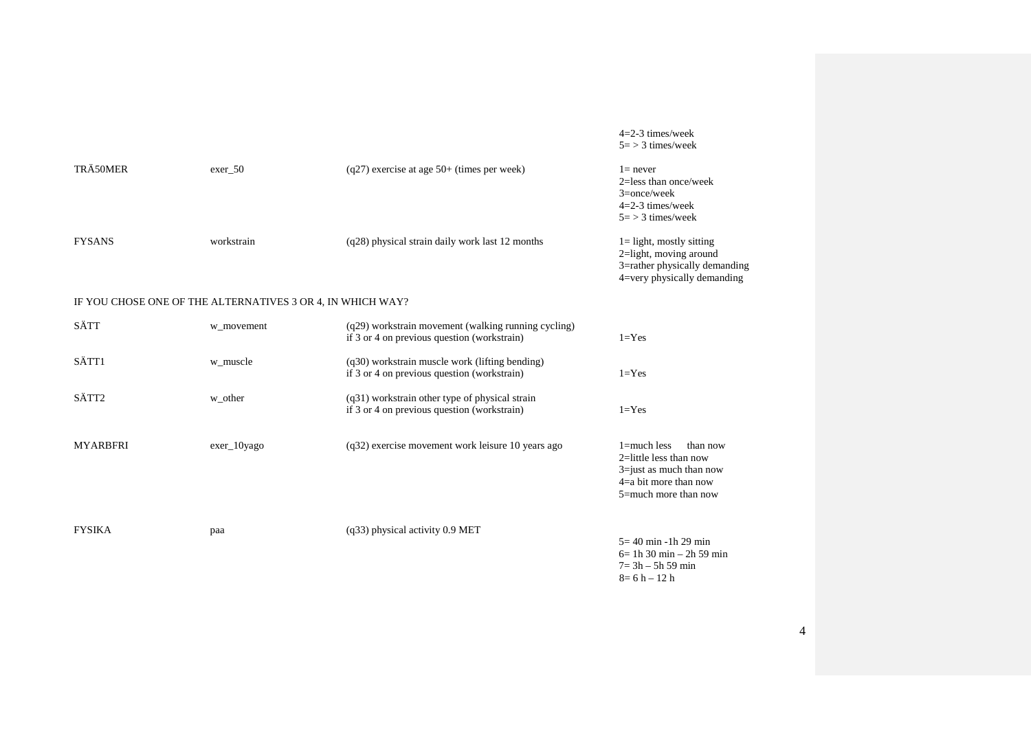|               |            |                                                   | $5 = 3$ times/week                                                                                                    |
|---------------|------------|---------------------------------------------------|-----------------------------------------------------------------------------------------------------------------------|
| TRÄ50MER      | exer 50    | $(q27)$ exercise at age 50+ (times per week)      | $l$ = never<br>$2 =$ less than once/week<br>$3=$ once/week<br>$4=2-3$ times/week<br>$5 = 3$ times/week                |
| <b>FYSANS</b> | workstrain | $(q28)$ physical strain daily work last 12 months | $1 =$ light, mostly sitting<br>2=light, moving around<br>3=rather physically demanding<br>4=very physically demanding |

## IF YOU CHOSE ONE OF THE ALTERNATIVES 3 OR 4, IN WHICH WAY?

| SÄTT            | w movement     | (q29) workstrain movement (walking running cycling)<br>if 3 or 4 on previous question (workstrain) | $1 = Yes$                                                                                                                                  |
|-----------------|----------------|----------------------------------------------------------------------------------------------------|--------------------------------------------------------------------------------------------------------------------------------------------|
| SÄTT1           | w muscle       | (q30) workstrain muscle work (lifting bending)<br>if 3 or 4 on previous question (workstrain)      | $1 = Yes$                                                                                                                                  |
| SÄTT2           | w_other        | $(q31)$ workstrain other type of physical strain<br>if 3 or 4 on previous question (workstrain)    | $1 = Yes$                                                                                                                                  |
| <b>MYARBFRI</b> | $exer_10$ yago | $(q32)$ exercise movement work leisure 10 years ago                                                | $1 =$ much less<br>than now<br>$2$ =little less than now<br>$3 =$ just as much than now<br>$4=a$ bit more than now<br>5=much more than now |
| <b>FYSIKA</b>   | paa            | $(q33)$ physical activity 0.9 MET                                                                  | $5 = 40$ min -1h 29 min<br>$6 = 1h$ 30 min – 2h 59 min<br>$7 = 3h - 5h 59$ min                                                             |

4

4=2-3 times/week

 $8 = 6 h - 12 h$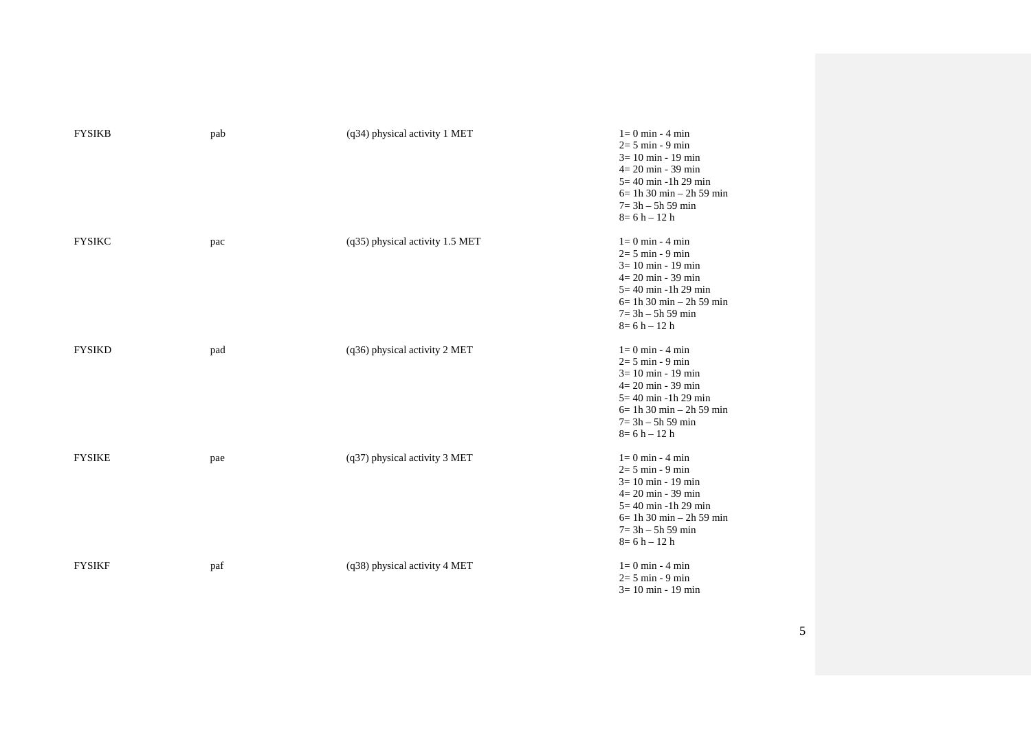| <b>FYSIKB</b> | pab | (q34) physical activity 1 MET   | $l = 0$ min - 4 min<br>$2=5$ min - 9 min<br>$3 = 10$ min - 19 min<br>$4 = 20$ min - 39 min<br>$5 = 40$ min -1h 29 min<br>$6 = 1h$ 30 min – 2h 59 min<br>$7 = 3h - 5h 59$ min<br>$8=6 h - 12 h$ |
|---------------|-----|---------------------------------|------------------------------------------------------------------------------------------------------------------------------------------------------------------------------------------------|
| <b>FYSIKC</b> | pac | (q35) physical activity 1.5 MET | $l = 0$ min - 4 min<br>$2=5$ min - 9 min<br>$3 = 10$ min - 19 min<br>$4 = 20$ min - 39 min<br>$5 = 40$ min -1h 29 min<br>$6 = 1h$ 30 min – 2h 59 min<br>$7 = 3h - 5h 59$ min<br>$8=6 h - 12 h$ |
| <b>FYSIKD</b> | pad | (q36) physical activity 2 MET   | $1=0$ min - 4 min<br>$2=5$ min - 9 min<br>$3 = 10$ min - 19 min<br>$4 = 20$ min - 39 min<br>$5 = 40$ min -1h 29 min<br>$6 = 1h$ 30 min – 2h 59 min<br>$7 = 3h - 5h$ 59 min<br>$8=6 h - 12 h$   |
| <b>FYSIKE</b> | pae | (q37) physical activity 3 MET   | $l = 0$ min - 4 min<br>$2=5$ min - 9 min<br>$3 = 10$ min - 19 min<br>$4 = 20$ min - 39 min<br>$5 = 40$ min -1h 29 min<br>$6 = 1h$ 30 min – 2h 59 min<br>$7 = 3h - 5h 59$ min<br>$8=6 h - 12 h$ |
| <b>FYSIKF</b> | paf | (q38) physical activity 4 MET   | $l = 0$ min - 4 min<br>$2 = 5$ min - 9 min<br>$3 = 10$ min - 19 min                                                                                                                            |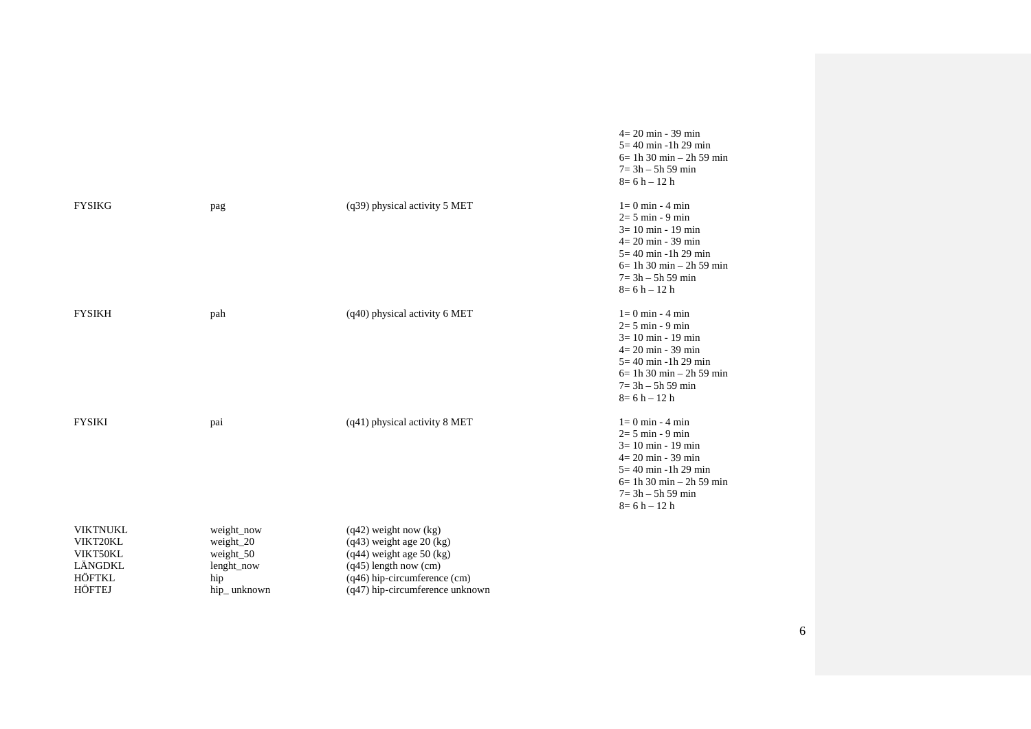|                                                                        |                                                                              |                                                                                                                                                                                       | $4 = 20$ min - 39 min<br>$5 = 40$ min -1h 29 min<br>$6=1h 30$ min $-2h 59$ min<br>$7 = 3h - 5h 59$ min<br>$8=6 h - 12 h$                                                                       |
|------------------------------------------------------------------------|------------------------------------------------------------------------------|---------------------------------------------------------------------------------------------------------------------------------------------------------------------------------------|------------------------------------------------------------------------------------------------------------------------------------------------------------------------------------------------|
| <b>FYSIKG</b>                                                          | pag                                                                          | (q39) physical activity 5 MET                                                                                                                                                         | $l = 0$ min - 4 min<br>$2 = 5$ min - 9 min<br>$3 = 10$ min - 19 min<br>$4 = 20$ min - 39 min<br>$5 = 40$ min -1h 29 min<br>$6=1h30$ min $-2h59$ min<br>$7 = 3h - 5h$ 59 min<br>$8=6 h - 12 h$  |
| <b>FYSIKH</b>                                                          | pah                                                                          | (q40) physical activity 6 MET                                                                                                                                                         | $1=0$ min - 4 min<br>$2=5$ min - 9 min<br>$3 = 10$ min - 19 min<br>$4 = 20$ min - 39 min<br>$5 = 40$ min -1h 29 min<br>$6 = 1h$ 30 min – 2h 59 min<br>$7 = 3h - 5h 59$ min<br>$8=6 h - 12 h$   |
| <b>FYSIKI</b>                                                          | pai                                                                          | (q41) physical activity 8 MET                                                                                                                                                         | $l = 0$ min - 4 min<br>$2=5$ min - 9 min<br>$3 = 10$ min - 19 min<br>$4 = 20$ min - 39 min<br>$5 = 40$ min -1h 29 min<br>$6 = 1h$ 30 min – 2h 59 min<br>$7 = 3h - 5h 59$ min<br>$8=6 h - 12 h$ |
| <b>VIKTNUKL</b><br>VIKT20KL<br>VIKT50KL<br>LÄNGDKL<br>HÖFTKL<br>HÖFTEJ | weight_now<br>weight $20$<br>weight $50$<br>lenght_now<br>hip<br>hip_unknown | $(q42)$ weight now $(kg)$<br>$(q43)$ weight age 20 (kg)<br>$(q44)$ weight age 50 (kg)<br>$(q45)$ length now (cm)<br>(q46) hip-circumference (cm)<br>$(q47)$ hip-circumference unknown |                                                                                                                                                                                                |

6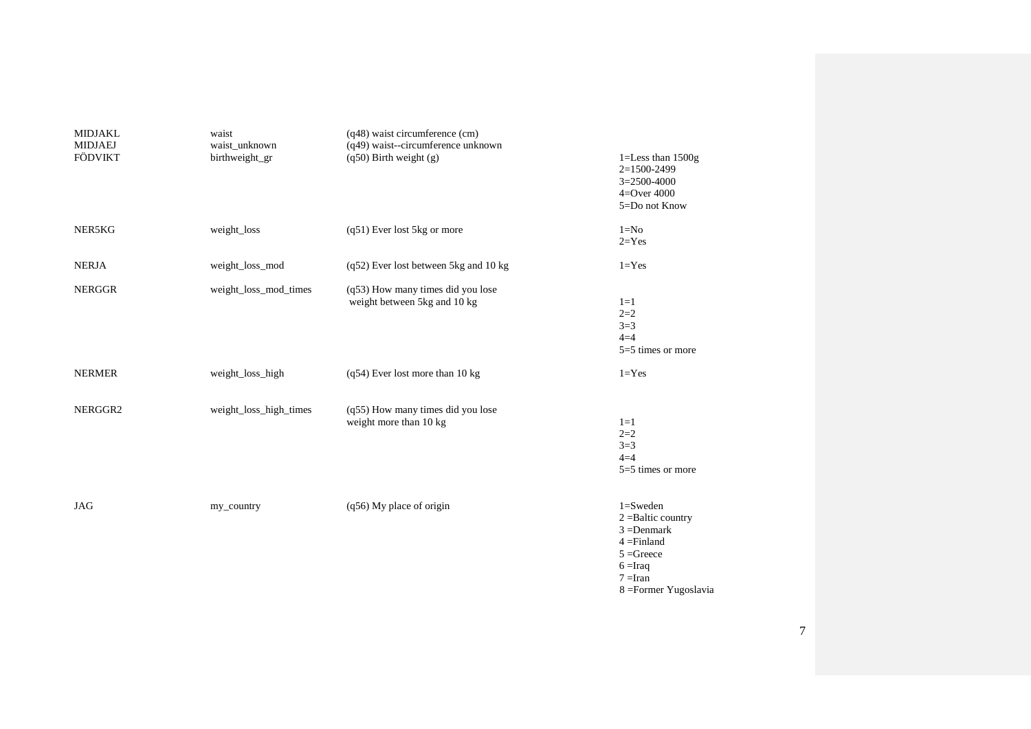| <b>MIDJAKL</b><br><b>MIDJAEJ</b> | waist<br>waist_unknown | (q48) waist circumference (cm)<br>(q49) waist--circumference unknown |                                                                                                                                                    |
|----------------------------------|------------------------|----------------------------------------------------------------------|----------------------------------------------------------------------------------------------------------------------------------------------------|
| <b>FÖDVIKT</b>                   | birthweight_gr         | $(q50)$ Birth weight $(g)$                                           | 1=Less than $1500g$<br>2=1500-2499<br>$3=2500-4000$<br>$4 =$ Over $4000$                                                                           |
|                                  |                        |                                                                      | 5=Do not Know                                                                                                                                      |
| NER5KG                           | weight_loss            | (q51) Ever lost 5kg or more                                          | $1 = No$<br>$2 = Yes$                                                                                                                              |
| <b>NERJA</b>                     | weight_loss_mod        | $(q52)$ Ever lost between 5kg and 10 kg                              | $1 = Yes$                                                                                                                                          |
| <b>NERGGR</b>                    | weight_loss_mod_times  | (q53) How many times did you lose<br>weight between 5kg and 10 kg    | $1=1$<br>$2=2$<br>$3=3$<br>$4=4$<br>$5=5$ times or more                                                                                            |
| <b>NERMER</b>                    | weight_loss_high       | (q54) Ever lost more than 10 kg                                      | $1 = Yes$                                                                                                                                          |
| NERGGR2                          | weight_loss_high_times | (q55) How many times did you lose                                    |                                                                                                                                                    |
|                                  |                        | weight more than 10 kg                                               | $1=1$<br>$2=2$<br>$3=3$<br>$4=4$<br>$5=5$ times or more                                                                                            |
| <b>JAG</b>                       | my_country             | (q56) My place of origin                                             | $1 =$ Sweden<br>$2 =$ Baltic country<br>$3 = Denmark$<br>$4 = Finland$<br>$5 =$ Greece<br>$6 = \text{Iraq}$<br>$7 =$ Iran<br>8 = Former Yugoslavia |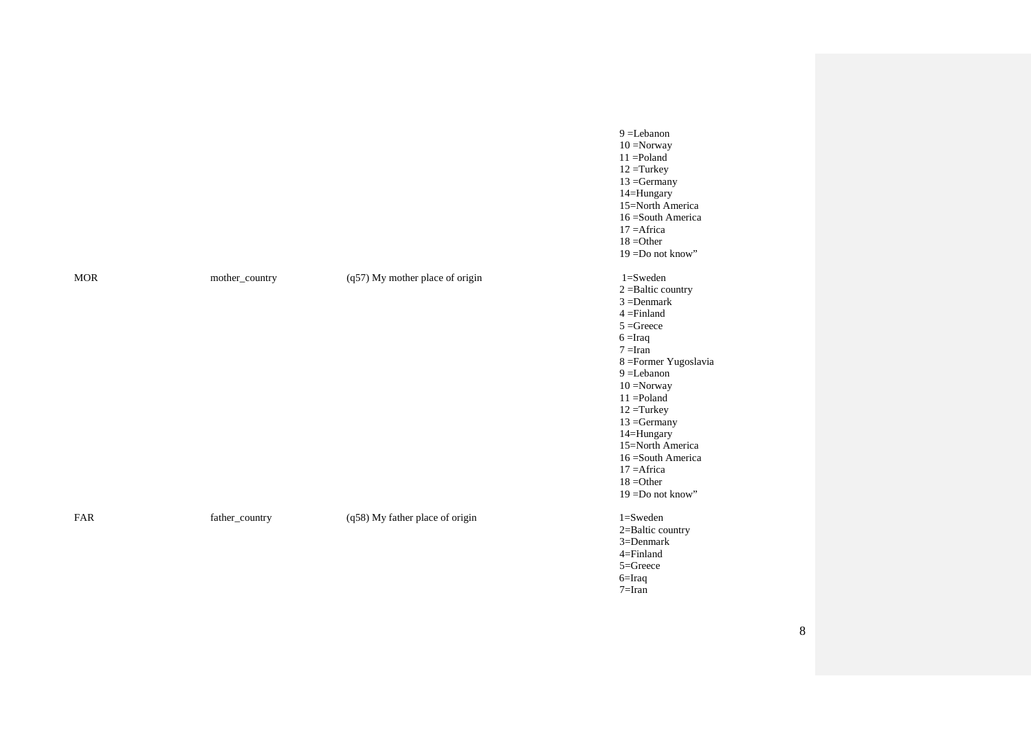|            |                |                                 | $9 = Lebanon$<br>$10 =$ Norway<br>$11 =$ Poland<br>$12 =$ Turkey<br>$13 =$ Germany<br>14=Hungary<br>15=North America<br>16 = South America<br>$17 =$ Africa<br>$18 = Other$<br>$19 = Do$ not know"                                                                                                                                                       |
|------------|----------------|---------------------------------|----------------------------------------------------------------------------------------------------------------------------------------------------------------------------------------------------------------------------------------------------------------------------------------------------------------------------------------------------------|
| <b>MOR</b> | mother_country | (q57) My mother place of origin | $1 =$ Sweden<br>$2 =$ Baltic country<br>$3 =$ Denmark<br>$4 = Finland$<br>$5 =$ Greece<br>$6 = \text{Iraq}$<br>$7 =$ Iran<br>8 = Former Yugoslavia<br>$9 = Lebanon$<br>$10 =$ Norway<br>$11 =$ Poland<br>$12 =$ Turkey<br>$13 =$ Germany<br>14=Hungary<br>15=North America<br>16 = South America<br>$17 =$ Africa<br>$18 = Other$<br>$19 = Do$ not know" |
| FAR        | father_country | (q58) My father place of origin | $1 =$ Sweden<br>2=Baltic country<br>$3 =$ Denmark<br>4=Finland<br>5=Greece<br>$6 = Iraq$                                                                                                                                                                                                                                                                 |

7=Iran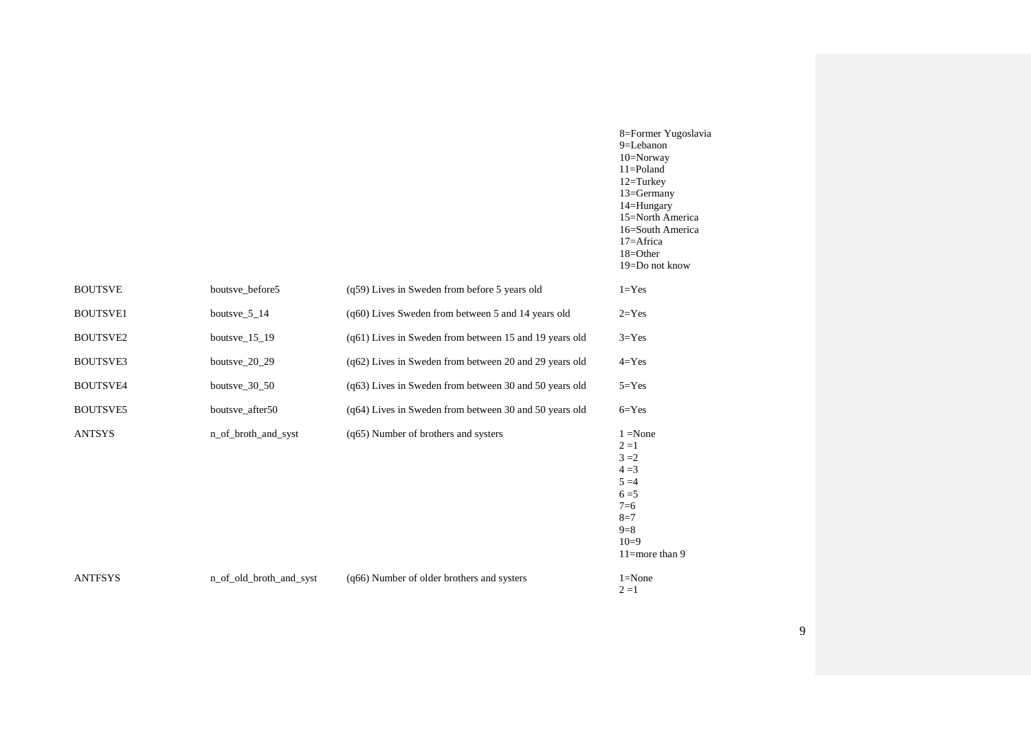|                 |                         |                                                        | 8=Former Yugoslavia<br>9=Lebanon<br>10=Norway<br>$11 =$ Poland<br>$12 = Turkey$<br>13=Germany<br>14=Hungary<br>15=North America<br>16=South America<br>17=Africa<br>18=Other<br>19=Do not know |
|-----------------|-------------------------|--------------------------------------------------------|------------------------------------------------------------------------------------------------------------------------------------------------------------------------------------------------|
| <b>BOUTSVE</b>  | boutsve_before5         | (q59) Lives in Sweden from before 5 years old          | $1 = Yes$                                                                                                                                                                                      |
| <b>BOUTSVE1</b> | boutsve_5_14            | (q60) Lives Sweden from between 5 and 14 years old     | $2 = Yes$                                                                                                                                                                                      |
| <b>BOUTSVE2</b> | boutsve $15-19$         | (q61) Lives in Sweden from between 15 and 19 years old | $3 = Yes$                                                                                                                                                                                      |
| <b>BOUTSVE3</b> | boutsve_20_29           | (q62) Lives in Sweden from between 20 and 29 years old | $4 = Yes$                                                                                                                                                                                      |
| <b>BOUTSVE4</b> | boutsve $\_30\_50$      | (q63) Lives in Sweden from between 30 and 50 years old | $5 = Yes$                                                                                                                                                                                      |
| <b>BOUTSVE5</b> | boutsve_after50         | (q64) Lives in Sweden from between 30 and 50 years old | $6 = Yes$                                                                                                                                                                                      |
| <b>ANTSYS</b>   | n_of_broth_and_syst     | (q65) Number of brothers and systers                   | $1 = None$<br>$2 = 1$<br>$3 = 2$<br>$4 = 3$<br>$5 = 4$<br>$6 = 5$<br>$7=6$<br>$8=7$<br>$9=8$<br>$10=9$<br>11=more than 9                                                                       |
| <b>ANTFSYS</b>  | n_of_old_broth_and_syst | (q66) Number of older brothers and systers             | $1 = None$<br>$2=1$                                                                                                                                                                            |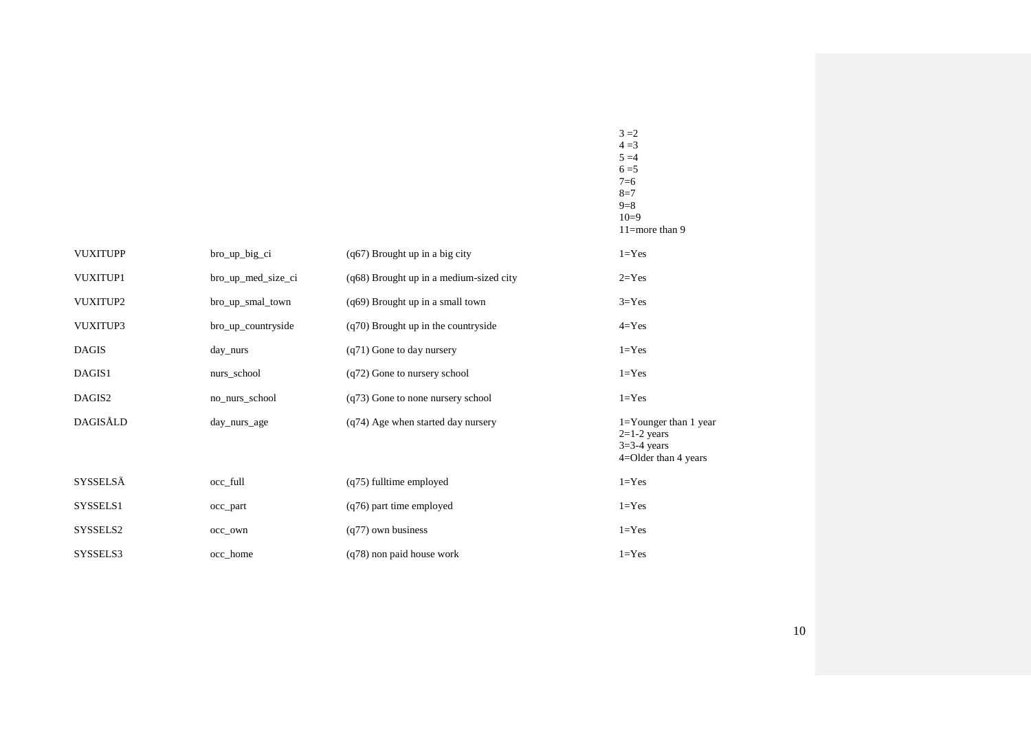|                 |                    |                                         | $8=7$<br>$9=8$<br>$10=9$<br>$11$ =more than 9                                           |
|-----------------|--------------------|-----------------------------------------|-----------------------------------------------------------------------------------------|
| <b>VUXITUPP</b> | bro_up_big_ci      | (q67) Brought up in a big city          | $1 = Yes$                                                                               |
| VUXITUP1        | bro_up_med_size_ci | (q68) Brought up in a medium-sized city | $2 = Yes$                                                                               |
| VUXITUP2        | bro_up_smal_town   | (q69) Brought up in a small town        | $3 = Yes$                                                                               |
| VUXITUP3        | bro_up_countryside | (q70) Brought up in the countryside     | $4 = Yes$                                                                               |
| <b>DAGIS</b>    | day_nurs           | (q71) Gone to day nursery               | $1 = Yes$                                                                               |
| DAGIS1          | nurs_school        | (q72) Gone to nursery school            | $1 = Yes$                                                                               |
| DAGIS2          | no_nurs_school     | (q73) Gone to none nursery school       | $1 = Yes$                                                                               |
| DAGISÅLD        | day_nurs_age       | (q74) Age when started day nursery      | $1 =$ Younger than 1 year<br>$2=1-2$ years<br>$3=3-4$ years<br>$4 =$ Older than 4 years |
| SYSSELSÄ        | occ_full           | (q75) fulltime employed                 | $1 = Yes$                                                                               |
| SYSSELS1        | occ_part           | (q76) part time employed                | $1 = Yes$                                                                               |
| SYSSELS2        | occ_own            | $(q77)$ own business                    | $1 = Yes$                                                                               |
| SYSSELS3        | occ home           | (q78) non paid house work               | $1 = Yes$                                                                               |

 $3 = 2$ 

 $4 = 3$  $5 = 4$  $6 = 5$ 7=6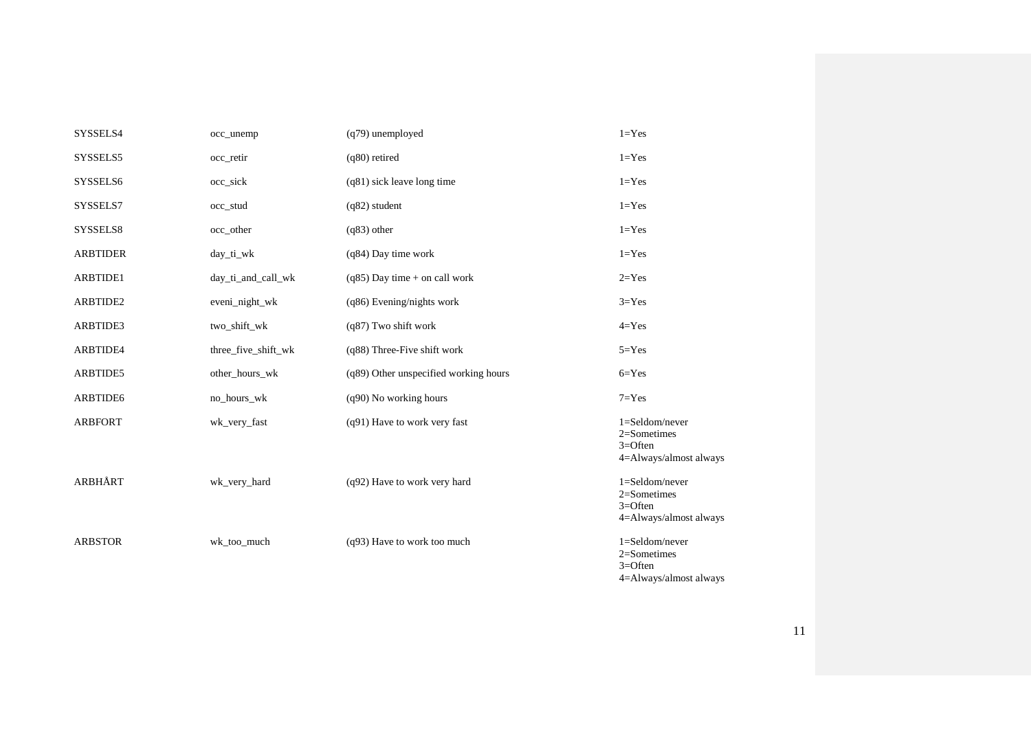| SYSSELS4        | occ_unemp           | $(q79)$ unemployed                    | $1 = Yes$                                                                  |
|-----------------|---------------------|---------------------------------------|----------------------------------------------------------------------------|
| SYSSELS5        | occ_retir           | $(q80)$ retired                       | $1 = Yes$                                                                  |
| SYSSELS6        | occ_sick            | $(q81)$ sick leave long time          | $1 = Yes$                                                                  |
| SYSSELS7        | occ_stud            | $(q82)$ student                       | $1 = Yes$                                                                  |
| SYSSELS8        | occ_other           | $(q83)$ other                         | $1 = Yes$                                                                  |
| <b>ARBTIDER</b> | day_ti_wk           | $(q84)$ Day time work                 | $1 = Yes$                                                                  |
| ARBTIDE1        | day_ti_and_call_wk  | $(q85)$ Day time + on call work       | $2 = Yes$                                                                  |
| ARBTIDE2        | eveni_night_wk      | (q86) Evening/nights work             | $3 = Yes$                                                                  |
| ARBTIDE3        | two_shift_wk        | (q87) Two shift work                  | $4 = Yes$                                                                  |
| ARBTIDE4        | three_five_shift_wk | (q88) Three-Five shift work           | $5 = Yes$                                                                  |
| ARBTIDE5        | other_hours_wk      | (q89) Other unspecified working hours | $6 = Yes$                                                                  |
| ARBTIDE6        | no_hours_wk         | (q90) No working hours                | $7 = Yes$                                                                  |
| <b>ARBFORT</b>  | wk_very_fast        | (q91) Have to work very fast          | $1 =$ Seldom/never<br>2=Sometimes<br>$3 =$ Often<br>4=Always/almost always |
| ARBHÅRT         | wk_very_hard        | (q92) Have to work very hard          | $1 =$ Seldom/never<br>2=Sometimes<br>$3 =$ Often<br>4=Always/almost always |
| <b>ARBSTOR</b>  | wk_too_much         | (q93) Have to work too much           | 1=Seldom/never<br>2=Sometimes<br>$3 =$ Often                               |

4=Always/almost always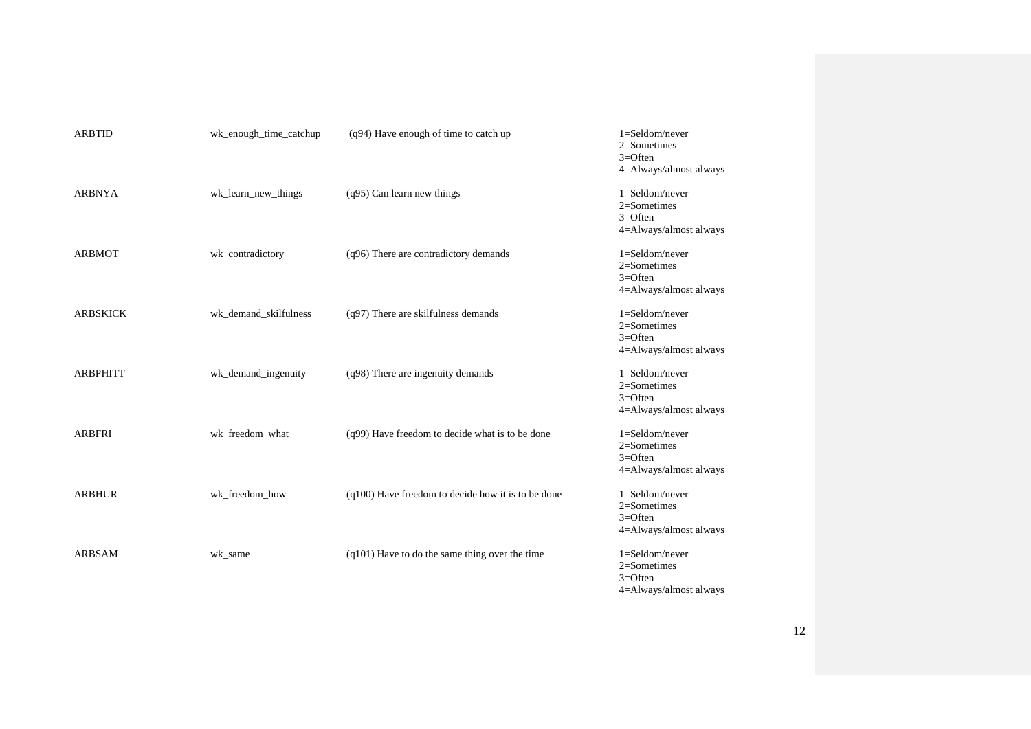| <b>ARBTID</b>   | wk_enough_time_catchup | $(q94)$ Have enough of time to catch up            | $1 =$ Seldom/never<br>$2 =$ Sometimes<br>$3 =$ Often<br>4=Always/almost always |
|-----------------|------------------------|----------------------------------------------------|--------------------------------------------------------------------------------|
| <b>ARBNYA</b>   | wk_learn_new_things    | $(q95)$ Can learn new things                       | $1 =$ Seldom/never<br>$2$ =Sometimes<br>$3 =$ Often<br>4=Always/almost always  |
| <b>ARBMOT</b>   | wk_contradictory       | (q96) There are contradictory demands              | $1 =$ Seldom/never<br>$2$ =Sometimes<br>$3 =$ Often<br>4=Always/almost always  |
| <b>ARBSKICK</b> | wk_demand_skilfulness  | (q97) There are skilfulness demands                | $1 =$ Seldom/never<br>$2$ =Sometimes<br>$3 =$ Often<br>4=Always/almost always  |
| <b>ARBPHITT</b> | wk_demand_ingenuity    | (q98) There are ingenuity demands                  | $1 =$ Seldom/never<br>$2$ =Sometimes<br>$3 =$ Often<br>4=Always/almost always  |
| <b>ARBFRI</b>   | wk_freedom_what        | (q99) Have freedom to decide what is to be done    | $1 =$ Seldom/never<br>$2 =$ Sometimes<br>$3 =$ Often<br>4=Always/almost always |
| <b>ARBHUR</b>   | wk_freedom_how         | (q100) Have freedom to decide how it is to be done | $1 =$ Seldom/never<br>$2 =$ Sometimes<br>$3 =$ Often<br>4=Always/almost always |
| <b>ARBSAM</b>   | wk_same                | (q101) Have to do the same thing over the time     | $1 =$ Seldom/never<br>2=Sometimes<br>$3=$ Often<br>4=Always/almost always      |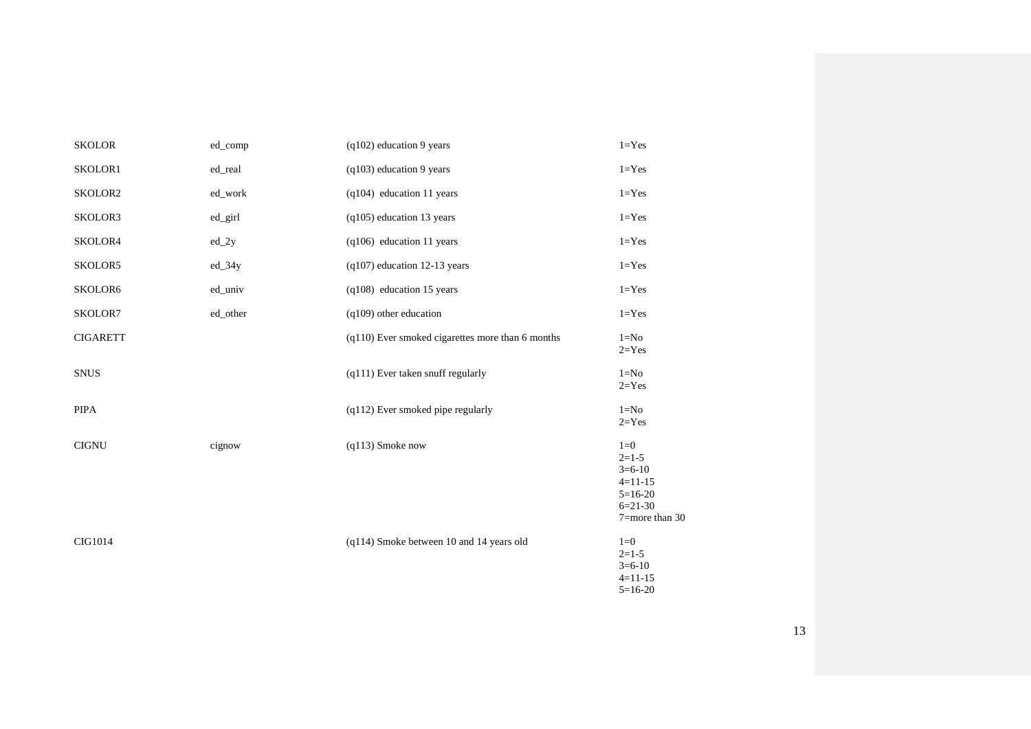| <b>SKOLOR</b>   | ed_comp  | $(q102)$ education 9 years                       | $1 = Yes$                                                                             |
|-----------------|----------|--------------------------------------------------|---------------------------------------------------------------------------------------|
| SKOLOR1         | ed_real  | $(q103)$ education 9 years                       | $1 = Yes$                                                                             |
| SKOLOR2         | ed_work  | $(q104)$ education 11 years                      | $1 = Yes$                                                                             |
| SKOLOR3         | ed_girl  | (q105) education 13 years                        | $1 = Yes$                                                                             |
| SKOLOR4         | $ed_2y$  | $(q106)$ education 11 years                      | $1 = Yes$                                                                             |
| SKOLOR5         | $ed_34y$ | $(q107)$ education 12-13 years                   | $1 = Yes$                                                                             |
| SKOLOR6         | ed_univ  | (q108) education 15 years                        | $1 = Yes$                                                                             |
| SKOLOR7         | ed_other | $(q109)$ other education                         | $1 = Yes$                                                                             |
| <b>CIGARETT</b> |          | (q110) Ever smoked cigarettes more than 6 months | $1=N0$<br>$2 = Yes$                                                                   |
| <b>SNUS</b>     |          | (q111) Ever taken snuff regularly                | $1 = No$<br>$2 = Yes$                                                                 |
| <b>PIPA</b>     |          | $(q112)$ Ever smoked pipe regularly              | $1=N0$<br>$2 = Yes$                                                                   |
| <b>CIGNU</b>    | cignow   | $(q113)$ Smoke now                               | $1=0$<br>$2=1-5$<br>$3=6-10$<br>$4=11-15$<br>$5=16-20$<br>$6=21-30$<br>7=more than 30 |
| CIG1014         |          | (q114) Smoke between 10 and 14 years old         | $1=0$<br>$2=1-5$<br>$3=6-10$<br>$4 = 11 - 15$<br>$5=16-20$                            |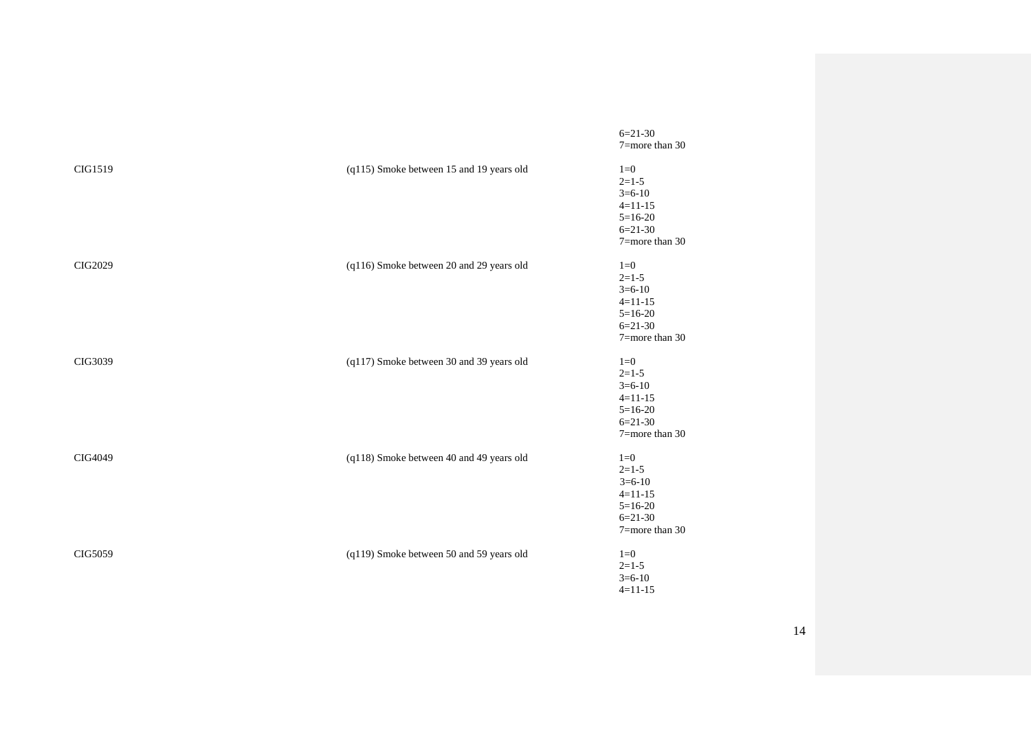|                |                                          | $6=21-30$<br>7=more than 30                                                           |
|----------------|------------------------------------------|---------------------------------------------------------------------------------------|
| CIG1519        | (q115) Smoke between 15 and 19 years old | $1=0$<br>$2=1-5$<br>$3=6-10$<br>$4=11-15$<br>$5=16-20$<br>$6=21-30$<br>7=more than 30 |
| <b>CIG2029</b> | (q116) Smoke between 20 and 29 years old | $1=0$<br>$2=1-5$<br>$3=6-10$<br>$4=11-15$<br>$5=16-20$<br>$6=21-30$<br>7=more than 30 |
| CIG3039        | (q117) Smoke between 30 and 39 years old | $1=0$<br>$2=1-5$<br>$3=6-10$<br>$4=11-15$<br>$5=16-20$<br>$6=21-30$<br>7=more than 30 |
| CIG4049        | (q118) Smoke between 40 and 49 years old | $1=0$<br>$2=1-5$<br>$3=6-10$<br>$4=11-15$<br>$5=16-20$<br>$6=21-30$<br>7=more than 30 |
| CIG5059        | (q119) Smoke between 50 and 59 years old | $1=0$<br>$2=1-5$<br>$3=6-10$<br>$4=11-15$                                             |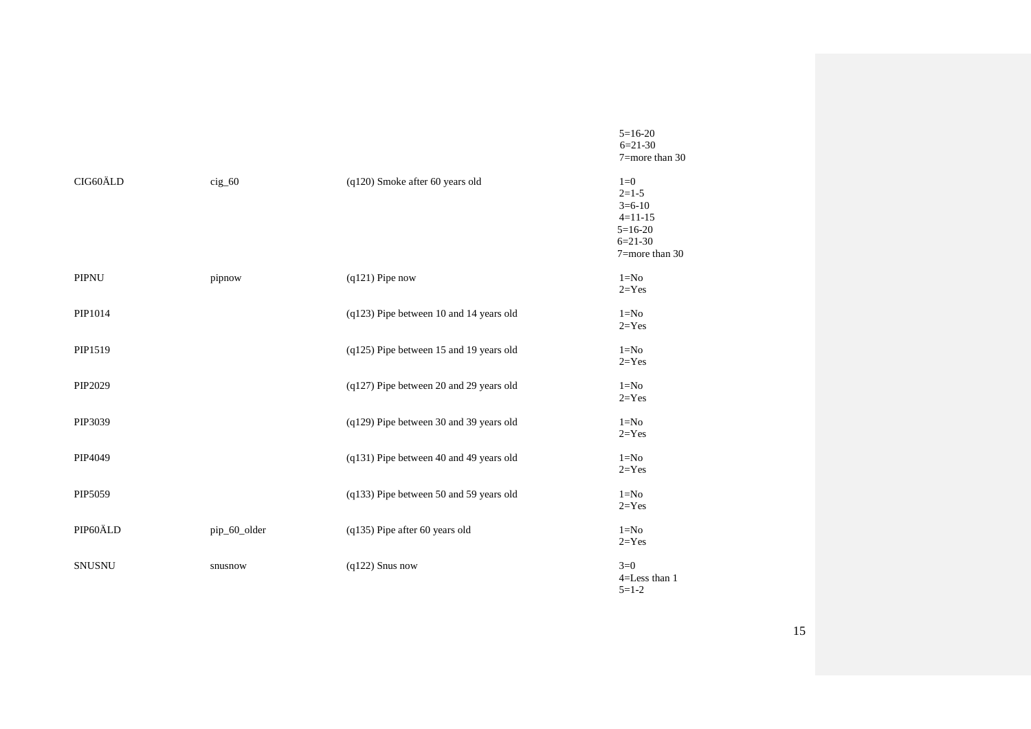|               |                 |                                         | $5=16-20$<br>$6=21-30$<br>7=more than 30                                                  |
|---------------|-----------------|-----------------------------------------|-------------------------------------------------------------------------------------------|
| CIG60ÄLD      | $\text{cig}_60$ | (q120) Smoke after 60 years old         | $1=0$<br>$2=1-5$<br>$3=6-10$<br>$4 = 11 - 15$<br>$5=16-20$<br>$6=21-30$<br>7=more than 30 |
| PIPNU         | pipnow          | $(q121)$ Pipe now                       | $1 = No$<br>$2 = Yes$                                                                     |
| PIP1014       |                 | (q123) Pipe between 10 and 14 years old | $1=N0$<br>$2 = Yes$                                                                       |
| PIP1519       |                 | (q125) Pipe between 15 and 19 years old | $1=N0$<br>$2 = Yes$                                                                       |
| PIP2029       |                 | (q127) Pipe between 20 and 29 years old | $1=N0$<br>$2 = Yes$                                                                       |
| PIP3039       |                 | (q129) Pipe between 30 and 39 years old | $1 = No$<br>$2 = Yes$                                                                     |
| PIP4049       |                 | (q131) Pipe between 40 and 49 years old | $1 = No$<br>$2 = Yes$                                                                     |
| PIP5059       |                 | (q133) Pipe between 50 and 59 years old | $1 = No$<br>$2 = Yes$                                                                     |
| PIP60ÄLD      | pip_60_older    | (q135) Pipe after 60 years old          | $1 = No$<br>$2 = Yes$                                                                     |
| <b>SNUSNU</b> | snusnow         | $(q122)$ Snus now                       | $3=0$<br>4=Less than 1<br>$5 = 1 - 2$                                                     |

15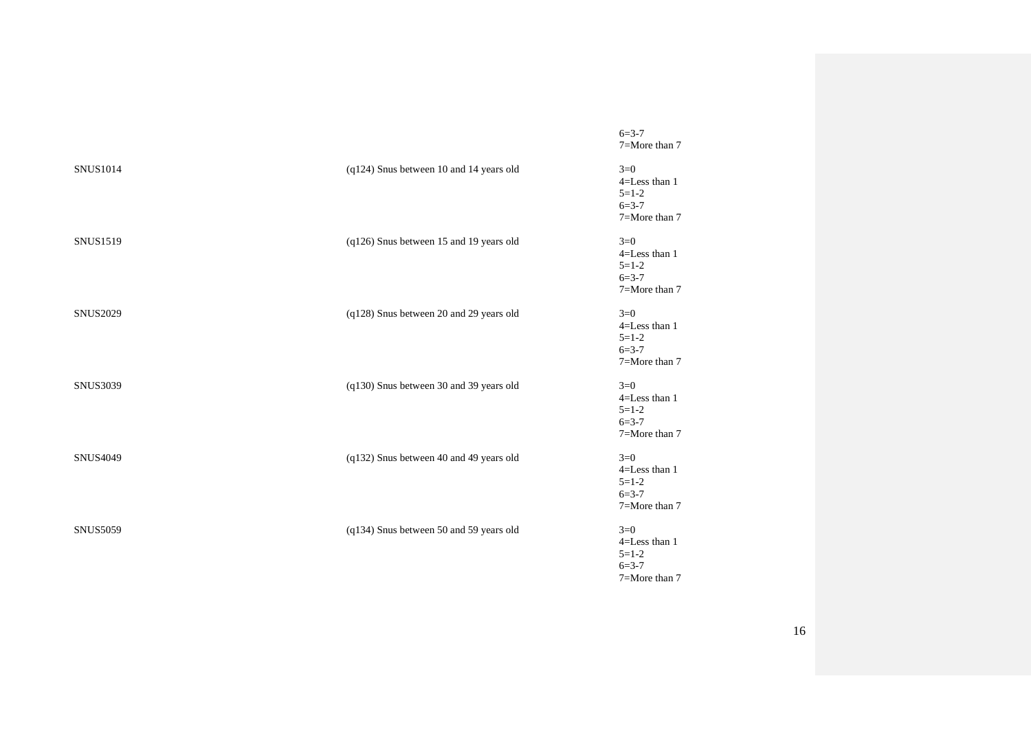| <b>SNUS1014</b> | (q124) Snus between 10 and 14 years old | $3=0$<br>4=Less than 1<br>$5 = 1 - 2$<br>$6 = 3 - 7$<br>7=More than 7 |
|-----------------|-----------------------------------------|-----------------------------------------------------------------------|
| <b>SNUS1519</b> | (q126) Snus between 15 and 19 years old | $3=0$<br>4=Less than 1<br>$5 = 1 - 2$<br>$6 = 3 - 7$<br>7=More than 7 |
| <b>SNUS2029</b> | (q128) Snus between 20 and 29 years old | $3=0$<br>4=Less than 1<br>$5=1-2$<br>$6 = 3 - 7$<br>7=More than 7     |
| <b>SNUS3039</b> | (q130) Snus between 30 and 39 years old | $3=0$<br>4=Less than 1<br>$5 = 1 - 2$<br>$6 = 3 - 7$<br>7=More than 7 |
| <b>SNUS4049</b> | (q132) Snus between 40 and 49 years old | $3=0$<br>4=Less than 1<br>$5 = 1 - 2$<br>$6 = 3 - 7$<br>7=More than 7 |
| <b>SNUS5059</b> | (q134) Snus between 50 and 59 years old | $3=0$<br>4=Less than 1<br>$5 = 1 - 2$<br>$6 = 3 - 7$<br>7=More than 7 |

 $6 = 3 - 7$ 7=More than 7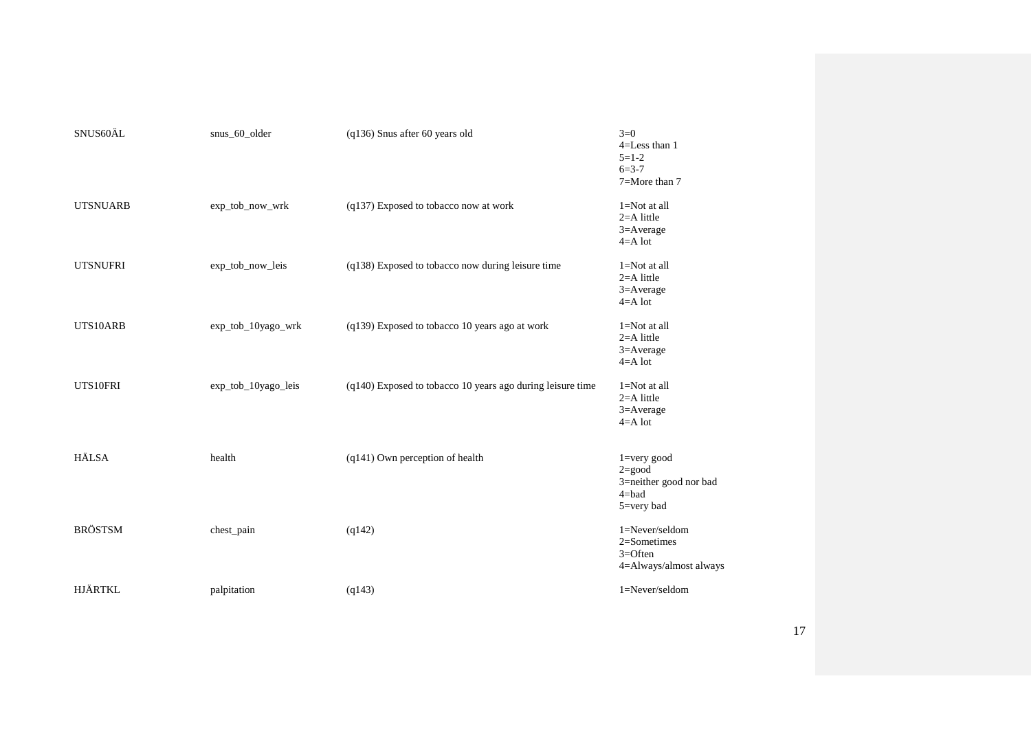| SNUS60ÄL        | snus 60 older       | $(q136)$ Snus after 60 years old                             | $3=0$<br>4=Less than 1<br>$5 = 1 - 2$<br>$6 = 3 - 7$<br>$7 =$ More than $7$                   |
|-----------------|---------------------|--------------------------------------------------------------|-----------------------------------------------------------------------------------------------|
| <b>UTSNUARB</b> | exp_tob_now_wrk     | (q137) Exposed to tobacco now at work                        | 1=Not at all<br>$2=$ A little<br>3=Average<br>$4=$ A lot                                      |
| <b>UTSNUFRI</b> | exp_tob_now_leis    | (q138) Exposed to tobacco now during leisure time            | 1=Not at all<br>$2=$ A little<br>3=Average<br>$4=$ A lot                                      |
| UTS10ARB        | exp_tob_10yago_wrk  | (q139) Exposed to tobacco 10 years ago at work               | $1 = Not$ at all<br>$2=$ A little<br>3=Average<br>$4=$ A lot                                  |
| UTS10FRI        | exp_tob_10yago_leis | $(q140)$ Exposed to tobacco 10 years ago during leisure time | 1=Not at all<br>$2=$ A little<br>3=Average<br>$4=$ A lot                                      |
| <b>HÄLSA</b>    | health              | (q141) Own perception of health                              | $1 = very good$<br>$2 = good$<br>3=neither good nor bad<br>$4 = bad$<br>$5 = \text{very bad}$ |
| <b>BRÖSTSM</b>  | chest_pain          | (q142)                                                       | 1=Never/seldom<br>$2 =$ Sometimes<br>$3 =$ Often<br>4=Always/almost always                    |
| <b>HJÄRTKL</b>  | palpitation         | (q143)                                                       | 1=Never/seldom                                                                                |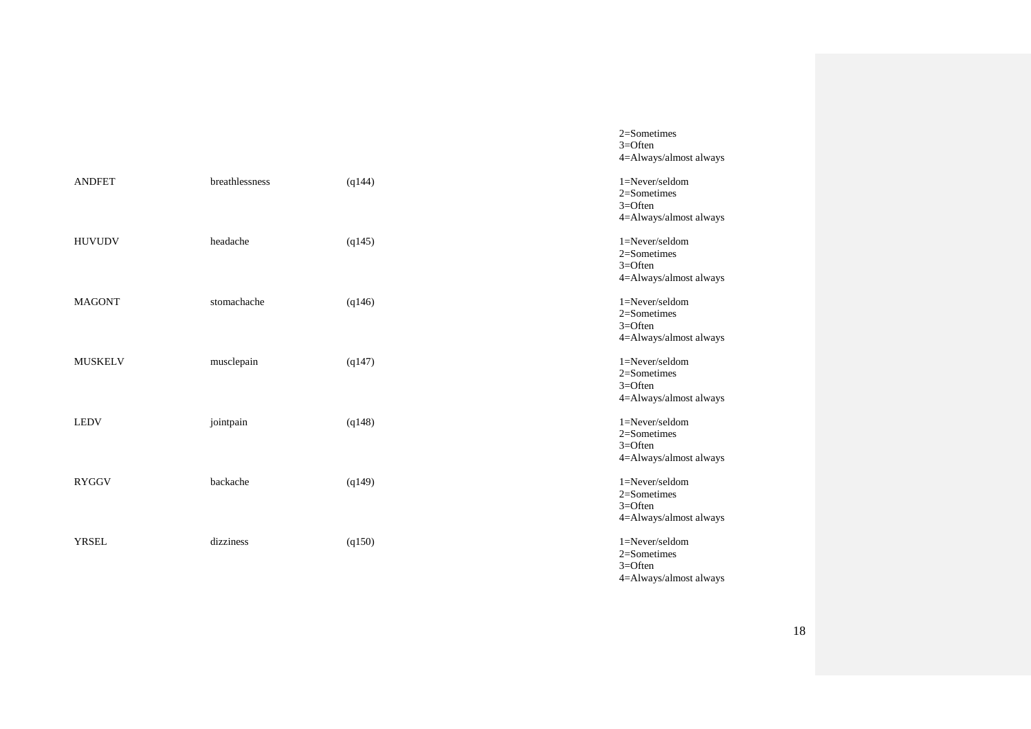|                |                |        | $3 =$ Often<br>4=Always/almost always                                          |
|----------------|----------------|--------|--------------------------------------------------------------------------------|
| <b>ANDFET</b>  | breathlessness | (q144) | $1 =$ Never/seldom<br>$2 =$ Sometimes<br>$3 =$ Often<br>4=Always/almost always |
| <b>HUVUDV</b>  | headache       | (q145) | 1=Never/seldom<br>$2 =$ Sometimes<br>$3 =$ Often<br>4=Always/almost always     |
| <b>MAGONT</b>  | stomachache    | (q146) | 1=Never/seldom<br>$2 =$ Sometimes<br>$3 =$ Often<br>4=Always/almost always     |
| <b>MUSKELV</b> | musclepain     | (q147) | $1 =$ Never/seldom<br>$2 =$ Sometimes<br>$3 =$ Often<br>4=Always/almost always |
| <b>LEDV</b>    | jointpain      | (q148) | 1=Never/seldom<br>$2 =$ Sometimes<br>$3 =$ Often<br>4=Always/almost always     |
| <b>RYGGV</b>   | backache       | (q149) | $1 =$ Never/seldom<br>$2 =$ Sometimes<br>$3 =$ Often<br>4=Always/almost always |
| <b>YRSEL</b>   | dizziness      | (q150) | $1 =$ Never/seldom<br>2=Sometimes<br>$3 =$ Often                               |

2=Sometimes

4=Always/almost always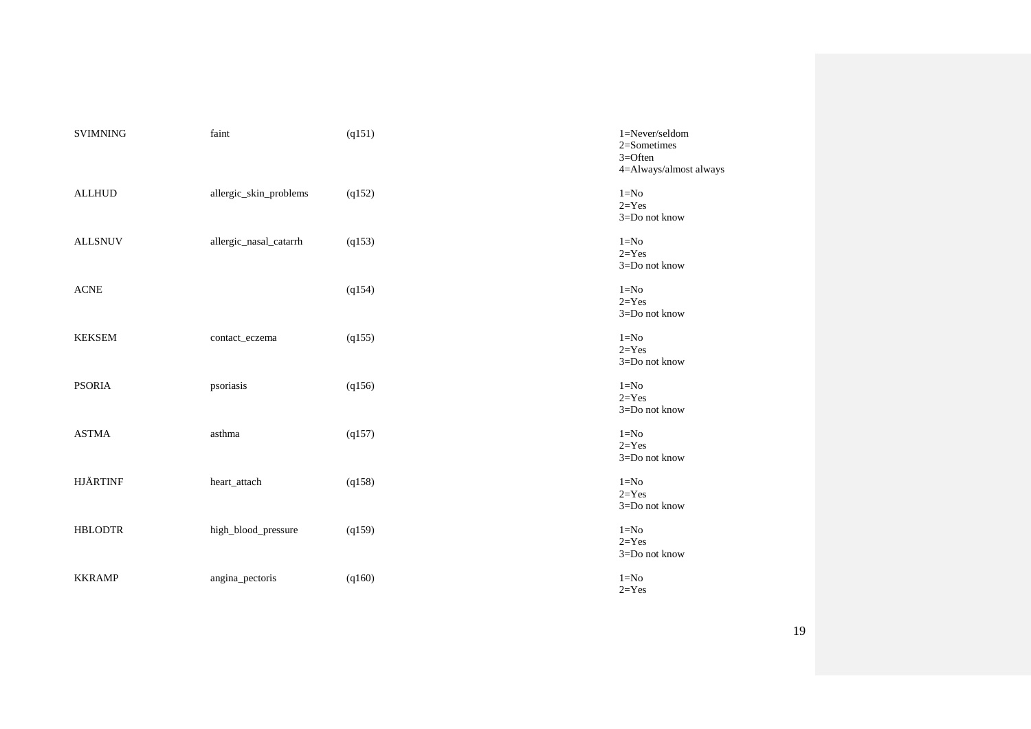| <b>SVIMNING</b> | faint                  | (q151) | 1=Never/seldom<br>2=Sometimes<br>$3 =$ Often<br>4=Always/almost always |
|-----------------|------------------------|--------|------------------------------------------------------------------------|
| <b>ALLHUD</b>   | allergic_skin_problems | (q152) | $1 = No$<br>$2 = Yes$<br>3=Do not know                                 |
| <b>ALLSNUV</b>  | allergic_nasal_catarrh | (q153) | $1=N0$<br>$2 = Yes$<br>3=Do not know                                   |
| <b>ACNE</b>     |                        | (q154) | $1=N0$<br>$2 = Yes$<br>3=Do not know                                   |
| <b>KEKSEM</b>   | contact_eczema         | (q155) | $1=N0$<br>$2 = Yes$<br>3=Do not know                                   |
| <b>PSORIA</b>   | psoriasis              | (q156) | $1 = No$<br>$2 = Yes$<br>3=Do not know                                 |
| <b>ASTMA</b>    | asthma                 | (q157) | $1 = No$<br>$2 = Yes$<br>3=Do not know                                 |
| <b>HJÄRTINF</b> | heart_attach           | (q158) | $1 = No$<br>$2 = Yes$<br>3=Do not know                                 |
| <b>HBLODTR</b>  | high_blood_pressure    | (q159) | $1=N0$<br>$2 = Yes$<br>3=Do not know                                   |
| <b>KKRAMP</b>   | angina_pectoris        | (q160) | $1=N0$<br>$2 = Yes$                                                    |

19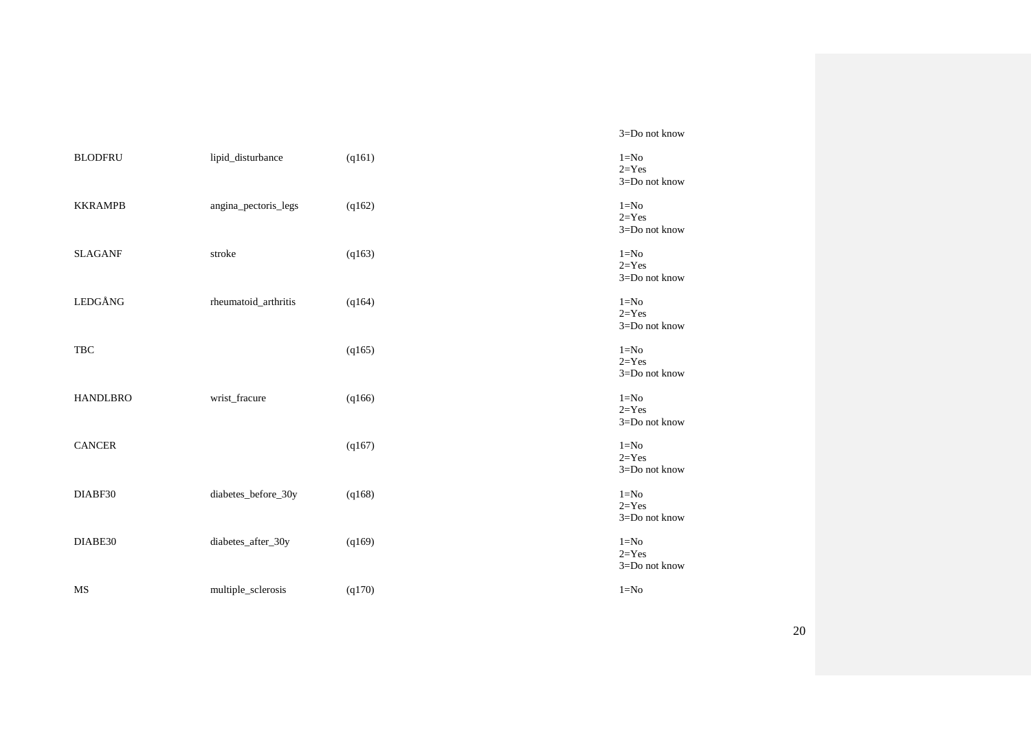3=Do not know

| <b>BLODFRU</b>  | lipid_disturbance    | (q161) | $1 = No$<br>$2 = Yes$<br>3=Do not know |
|-----------------|----------------------|--------|----------------------------------------|
| <b>KKRAMPB</b>  | angina_pectoris_legs | (q162) | $1 = No$<br>$2 = Yes$<br>3=Do not know |
| <b>SLAGANF</b>  | stroke               | (q163) | $1 = No$<br>$2 = Yes$<br>3=Do not know |
| LEDGÅNG         | rheumatoid_arthritis | (q164) | $1 = No$<br>$2 = Yes$<br>3=Do not know |
| TBC             |                      | (q165) | $1 = No$<br>$2 = Yes$<br>3=Do not know |
| <b>HANDLBRO</b> | wrist_fracure        | (q166) | $1 = No$<br>$2 = Yes$<br>3=Do not know |
| <b>CANCER</b>   |                      | (q167) | $1 = No$<br>$2 = Yes$<br>3=Do not know |
| DIABF30         | diabetes_before_30y  | (q168) | $1 = No$<br>$2 = Yes$<br>3=Do not know |
| DIABE30         | diabetes_after_30y   | (q169) | $1 = No$<br>$2 = Yes$<br>3=Do not know |
| <b>MS</b>       | multiple_sclerosis   | (q170) | $1=N0$                                 |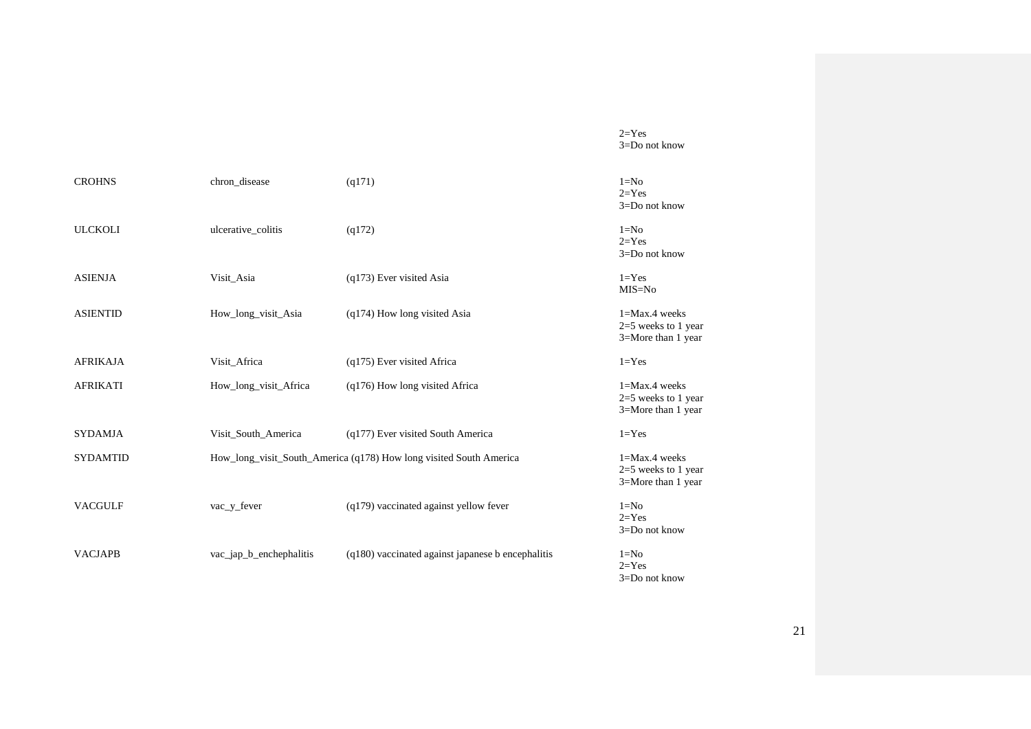$2 = Yes$ 3=Do not know

| <b>CROHNS</b>   | chron_disease           | (q171)                                                             | $1 = No$<br>$2 = Yes$<br>3=Do not know                           |
|-----------------|-------------------------|--------------------------------------------------------------------|------------------------------------------------------------------|
| <b>ULCKOLI</b>  | ulcerative_colitis      | (q172)                                                             | $1 = No$<br>$2 = Yes$<br>$3 = Do$ not know                       |
| <b>ASIENJA</b>  | Visit_Asia              | $(q173)$ Ever visited Asia                                         | $1 = Yes$<br>MIS=No                                              |
| <b>ASIENTID</b> | How_long_visit_Asia     | (q174) How long visited Asia                                       | $1 = Max.4$ weeks<br>$2=5$ weeks to 1 year<br>3=More than 1 year |
| <b>AFRIKAJA</b> | Visit Africa            | (q175) Ever visited Africa                                         | $1 = Yes$                                                        |
| <b>AFRIKATI</b> | How_long_visit_Africa   | $(q176)$ How long visited Africa                                   | 1=Max.4 weeks<br>2=5 weeks to 1 year<br>3=More than 1 year       |
| <b>SYDAMJA</b>  | Visit_South_America     | (q177) Ever visited South America                                  | $1 = Yes$                                                        |
| <b>SYDAMTID</b> |                         | How_long_visit_South_America (q178) How long visited South America | $1 = Max.4$ weeks<br>$2=5$ weeks to 1 year<br>3=More than 1 year |
| <b>VACGULF</b>  | vac_y_fever             | (q179) vaccinated against yellow fever                             | $1 = No$<br>$2 = Yes$<br>$3 = Do$ not know                       |
| <b>VACJAPB</b>  | vac_jap_b_enchephalitis | (q180) vaccinated against japanese b encephalitis                  | $1=N0$<br>$2 = Yes$<br>3=Do not know                             |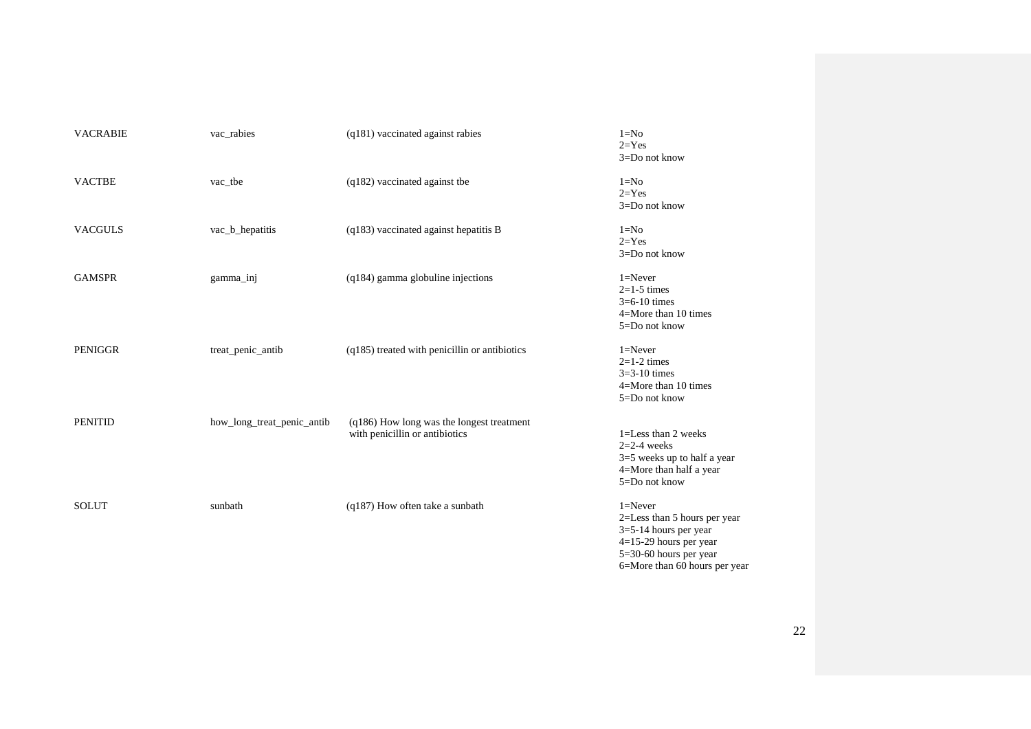| <b>VACRABIE</b> | vac_rabies                 | $(q181)$ vaccinated against rabies                                          | $1 = No$<br>$2=Yes$<br>3=Do not know                                                                                                                            |
|-----------------|----------------------------|-----------------------------------------------------------------------------|-----------------------------------------------------------------------------------------------------------------------------------------------------------------|
| <b>VACTBE</b>   | vac_tbe                    | $(q182)$ vaccinated against the                                             | $1 = No$<br>$2=Yes$<br>3=Do not know                                                                                                                            |
| <b>VACGULS</b>  | vac_b_hepatitis            | $(q183)$ vaccinated against hepatitis B                                     | $1 = No$<br>$2 = Yes$<br>3=Do not know                                                                                                                          |
| <b>GAMSPR</b>   | gamma_inj                  | $(q184)$ gamma globuline injections                                         | $1 =$ Never<br>$2=1-5$ times<br>$3=6-10$ times<br>$4 =$ More than 10 times<br>5=Do not know                                                                     |
| <b>PENIGGR</b>  | treat_penic_antib          | (q185) treated with penicillin or antibiotics                               | $1 =$ Never<br>$2=1-2$ times<br>$3=3-10$ times<br>$4 =$ More than 10 times<br>5=Do not know                                                                     |
| <b>PENITID</b>  | how_long_treat_penic_antib | (q186) How long was the longest treatment<br>with penicillin or antibiotics | $1 =$ Less than 2 weeks<br>$2=2-4$ weeks<br>$3=5$ weeks up to half a year<br>4=More than half a year<br>5=Do not know                                           |
| <b>SOLUT</b>    | sunbath                    | (q187) How often take a sunbath                                             | $1 =$ Never<br>2=Less than 5 hours per year<br>$3=5-14$ hours per year<br>$4=15-29$ hours per year<br>$5=30-60$ hours per year<br>6=More than 60 hours per year |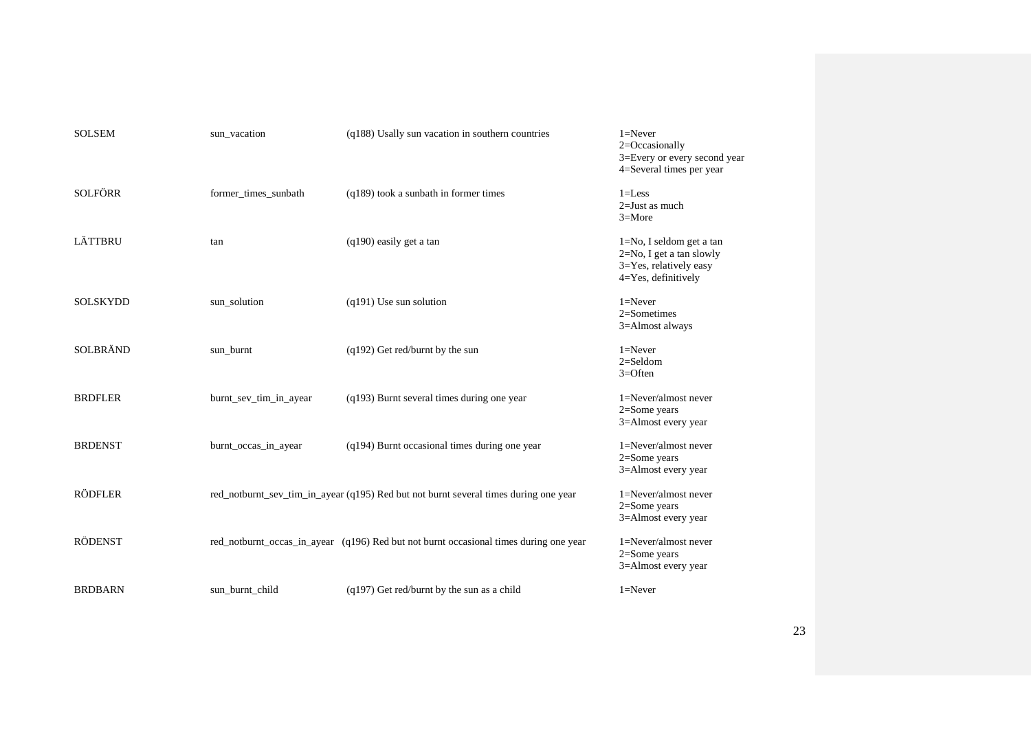| <b>SOLSEM</b>   | sun_vacation           | (q188) Usally sun vacation in southern countries                                      | $1 =$ Never<br>2=Occasionally<br>3=Every or every second year<br>4=Several times per year                |
|-----------------|------------------------|---------------------------------------------------------------------------------------|----------------------------------------------------------------------------------------------------------|
| <b>SOLFÖRR</b>  | former_times_sunbath   | $(q189)$ took a sunbath in former times                                               | $1 =$ Less<br>2=Just as much<br>$3 =$ More                                                               |
| LÄTTBRU         | tan                    | $(q190)$ easily get a tan                                                             | $1=No$ , I seldom get a tan<br>2=No, I get a tan slowly<br>3=Yes, relatively easy<br>4=Yes, definitively |
| <b>SOLSKYDD</b> | sun_solution           | $(q191)$ Use sun solution                                                             | $1 =$ Never<br>$2 =$ Sometimes<br>3=Almost always                                                        |
| <b>SOLBRÄND</b> | sun_burnt              | $(q192)$ Get red/burnt by the sun                                                     | $1 =$ Never<br>$2 =$ Seldom<br>$3 =$ Often                                                               |
| <b>BRDFLER</b>  | burnt_sev_tim_in_ayear | $(q193)$ Burnt several times during one year                                          | 1=Never/almost never<br>2=Some years<br>3=Almost every year                                              |
| <b>BRDENST</b>  | burnt_occas_in_ayear   | (q194) Burnt occasional times during one year                                         | 1=Never/almost never<br>$2 = Some years$<br>3=Almost every year                                          |
| <b>RÖDFLER</b>  |                        | red_notburnt_sev_tim_in_ayear (q195) Red but not burnt several times during one year  | 1=Never/almost never<br>$2 = Some years$<br>3=Almost every year                                          |
| <b>RÖDENST</b>  |                        | red_notburnt_occas_in_ayear (q196) Red but not burnt occasional times during one year | 1=Never/almost never<br>2=Some years<br>3=Almost every year                                              |
| <b>BRDBARN</b>  | sun burnt child        | $(q197)$ Get red/burnt by the sun as a child                                          | $1 =$ Never                                                                                              |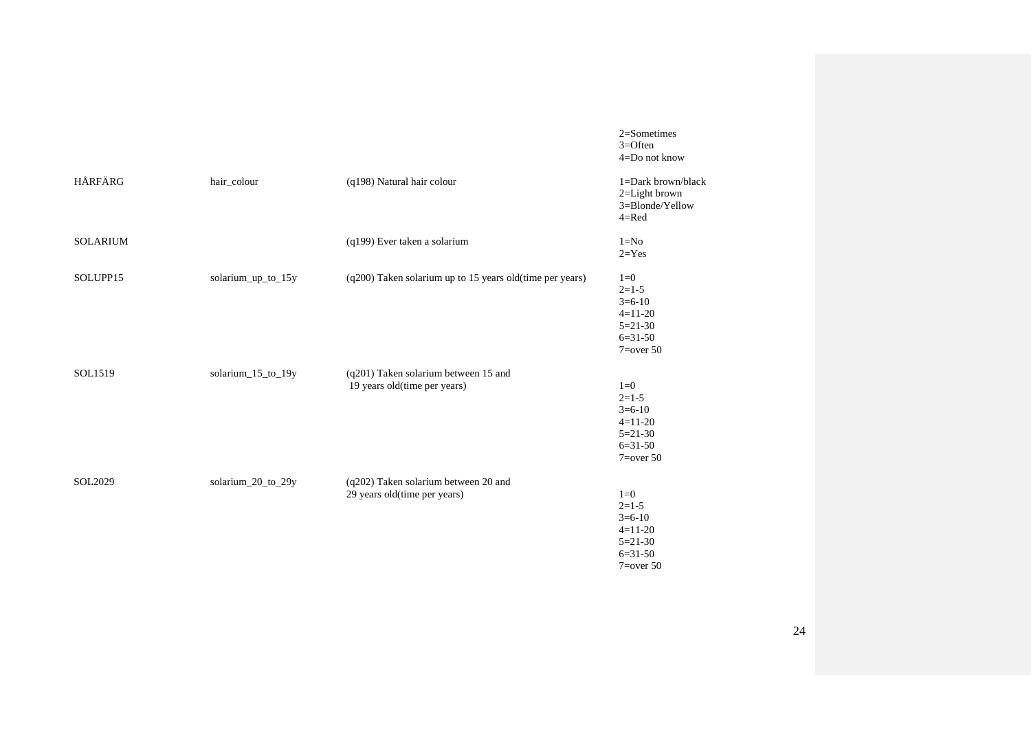2=Sometimes 3=Often 4=Do not know

| HÅRFÄRG         | hair_colour        | (q198) Natural hair colour                                           | 1=Dark brown/black<br>2=Light brown<br>3=Blonde/Yellow<br>$4 = Red$                      |
|-----------------|--------------------|----------------------------------------------------------------------|------------------------------------------------------------------------------------------|
| <b>SOLARIUM</b> |                    | (q199) Ever taken a solarium                                         | $1=N0$<br>$2 = Yes$                                                                      |
| SOLUPP15        | solarium_up_to_15y | (q200) Taken solarium up to 15 years old(time per years)             | $1=0$<br>$2=1-5$<br>$3=6-10$<br>$4=11-20$<br>$5=21-30$<br>$6=31-50$<br>$7 = over 50$     |
| SOL1519         | solarium_15_to_19y | (q201) Taken solarium between 15 and<br>19 years old(time per years) | $1=0$<br>$2=1-5$<br>$3=6-10$<br>$4=11-20$<br>$5 = 21 - 30$<br>$6=31-50$<br>$7 = over 50$ |
| SOL2029         | solarium_20_to_29y | (q202) Taken solarium between 20 and<br>29 years old(time per years) | $1=0$<br>$2=1-5$<br>$3=6-10$<br>$4=11-20$<br>$5=21-30$<br>$6 = 31 - 50$<br>$7 = over 50$ |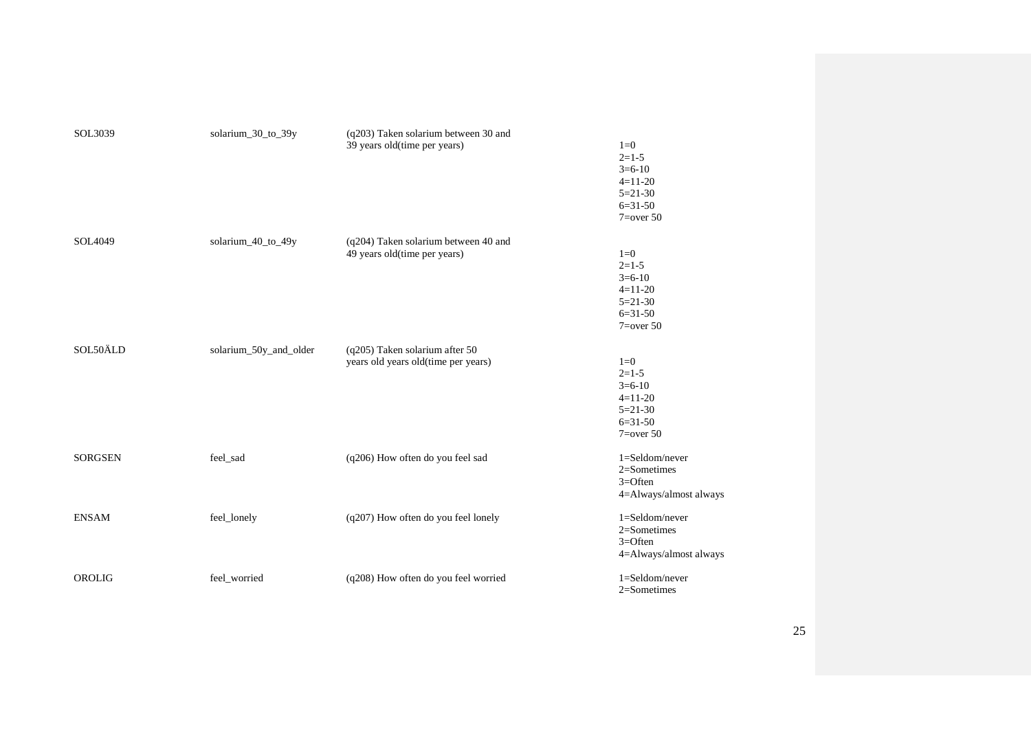| SOL3039        | solarium_30_to_39y     | (q203) Taken solarium between 30 and<br>39 years old(time per years)  | $1=0$<br>$2=1-5$<br>$3=6-10$<br>$4=11-20$<br>$5 = 21 - 30$<br>$6=31-50$<br>$7 = over 50$ |
|----------------|------------------------|-----------------------------------------------------------------------|------------------------------------------------------------------------------------------|
| SOL4049        | solarium_40_to_49y     | (q204) Taken solarium between 40 and<br>49 years old(time per years)  | $1=0$<br>$2 = 1 - 5$<br>$3=6-10$<br>$4=11-20$<br>$5=21-30$<br>$6=31-50$<br>$7 = over 50$ |
| SOL50ÄLD       | solarium 50y and older | (q205) Taken solarium after 50<br>years old years old(time per years) | $1=0$<br>$2=1-5$<br>$3=6-10$<br>$4=11-20$<br>$5=21-30$<br>$6=31-50$<br>$7 = over 50$     |
| <b>SORGSEN</b> | feel_sad               | (q206) How often do you feel sad                                      | $1 =$ Seldom/never<br>$2 =$ Sometimes<br>$3 =$ Often<br>4=Always/almost always           |
| <b>ENSAM</b>   | feel_lonely            | (q207) How often do you feel lonely                                   | $1 =$ Seldom/never<br>$2$ =Sometimes<br>$3 =$ Often<br>4=Always/almost always            |
| OROLIG         | feel_worried           | (q208) How often do you feel worried                                  | 1=Seldom/never<br>2=Sometimes                                                            |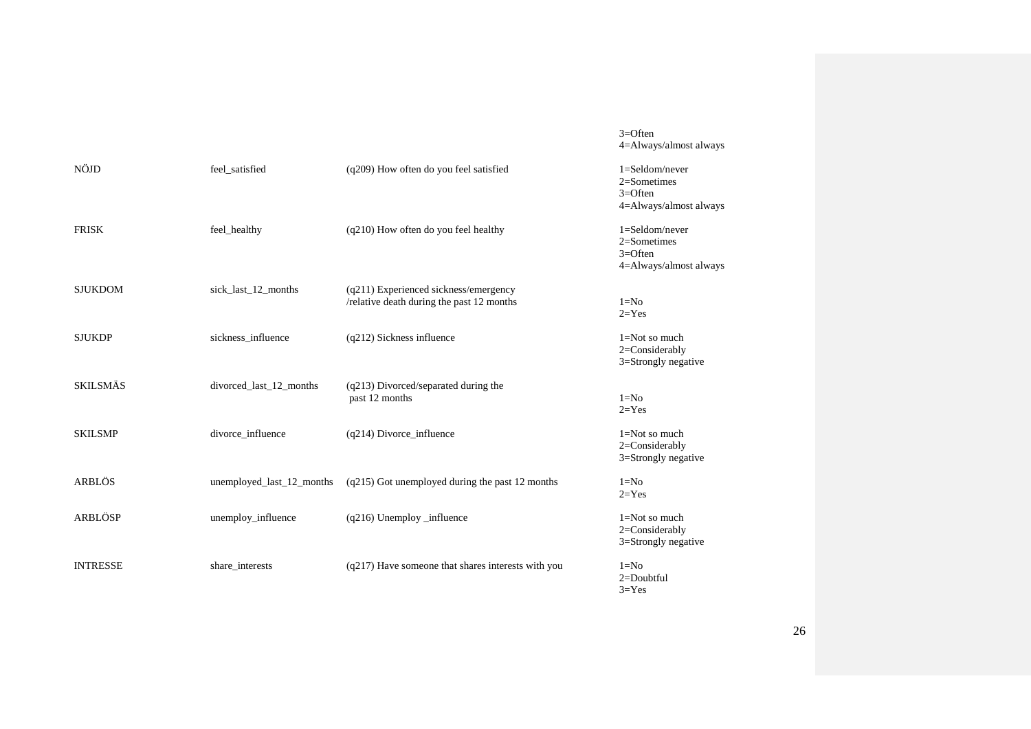3=Often 4=Always/almost always

| NÖJD            | feel satisfied            | (q209) How often do you feel satisfied                                               | $1 =$ Seldom/never<br>$2 =$ Sometimes<br>$3 =$ Often<br>4=Always/almost always |
|-----------------|---------------------------|--------------------------------------------------------------------------------------|--------------------------------------------------------------------------------|
| <b>FRISK</b>    | feel_healthy              | (q210) How often do you feel healthy                                                 | $1 =$ Seldom/never<br>$2$ =Sometimes<br>$3 =$ Often<br>4=Always/almost always  |
| <b>SJUKDOM</b>  | sick_last_12_months       | $(q211)$ Experienced sickness/emergency<br>/relative death during the past 12 months | $1 = No$<br>$2 = Yes$                                                          |
| <b>SJUKDP</b>   | sickness_influence        | (q212) Sickness influence                                                            | $1 = Not so much$<br>2=Considerably<br>3=Strongly negative                     |
| <b>SKILSMÄS</b> | divorced_last_12_months   | (q213) Divorced/separated during the<br>past 12 months                               | $1 = No$<br>$2 = Yes$                                                          |
| <b>SKILSMP</b>  | divorce_influence         | (q214) Divorce_influence                                                             | $1 = Not so much$<br>2=Considerably<br>3=Strongly negative                     |
| ARBLÖS          | unemployed_last_12_months | $(q215)$ Got unemployed during the past 12 months                                    | $1 = No$<br>$2 = Yes$                                                          |
| <b>ARBLÖSP</b>  | unemploy_influence        | $(q216)$ Unemploy influence                                                          | $1 = Not so much$<br>$2 = Considerably$<br>3=Strongly negative                 |
| <b>INTRESSE</b> | share_interests           | (q217) Have someone that shares interests with you                                   | $1 = No$<br>$2 =$ Doubtful<br>$3 = Yes$                                        |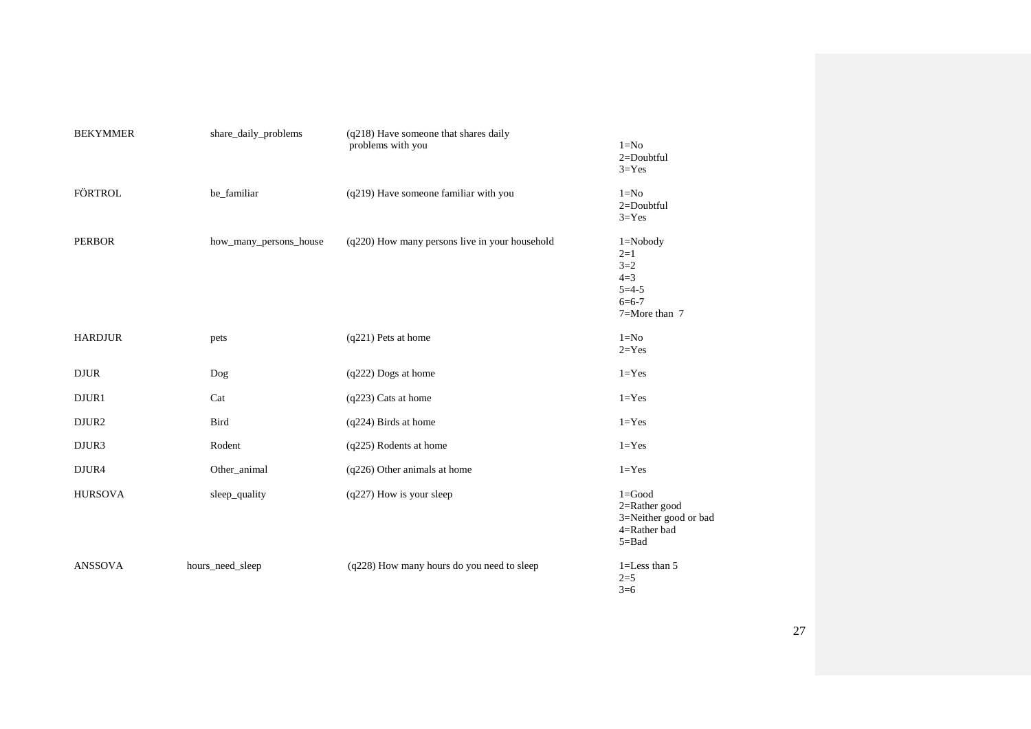| <b>BEKYMMER</b> | share_daily_problems   | $(q218)$ Have someone that shares daily<br>problems with you | $1 = No$<br>2=Doubtful<br>$3 = Yes$                                                      |
|-----------------|------------------------|--------------------------------------------------------------|------------------------------------------------------------------------------------------|
| <b>FÖRTROL</b>  | be_familiar            | (q219) Have someone familiar with you                        | $1 = No$<br>$2 =$ Doubtful<br>$3 = Yes$                                                  |
| <b>PERBOR</b>   | how_many_persons_house | (q220) How many persons live in your household               | $1 = Nobody$<br>$2=1$<br>$3 = 2$<br>$4=3$<br>$5 = 4 - 5$<br>$6 = 6 - 7$<br>7=More than 7 |
| <b>HARDJUR</b>  | pets                   | (q221) Pets at home                                          | $1=N0$<br>$2 = Yes$                                                                      |
| <b>DJUR</b>     | Dog                    | (q222) Dogs at home                                          | $1 = Yes$                                                                                |
| DJUR1           | Cat                    | (q223) Cats at home                                          | $1 = Yes$                                                                                |
| DJUR2           | <b>Bird</b>            | (q224) Birds at home                                         | $1 = Yes$                                                                                |
| DJUR3           | Rodent                 | (q225) Rodents at home                                       | $1 = Yes$                                                                                |
| DJUR4           | Other_animal           | (q226) Other animals at home                                 | $1 = Yes$                                                                                |
| <b>HURSOVA</b>  | sleep_quality          | $(q227)$ How is your sleep                                   | $1 = Good$<br>$2 =$ Rather good<br>3=Neither good or bad<br>4=Rather bad<br>$5 = Bad$    |
| <b>ANSSOVA</b>  | hours_need_sleep       | (q228) How many hours do you need to sleep                   | 1=Less than 5<br>$2=5$<br>$3=6$                                                          |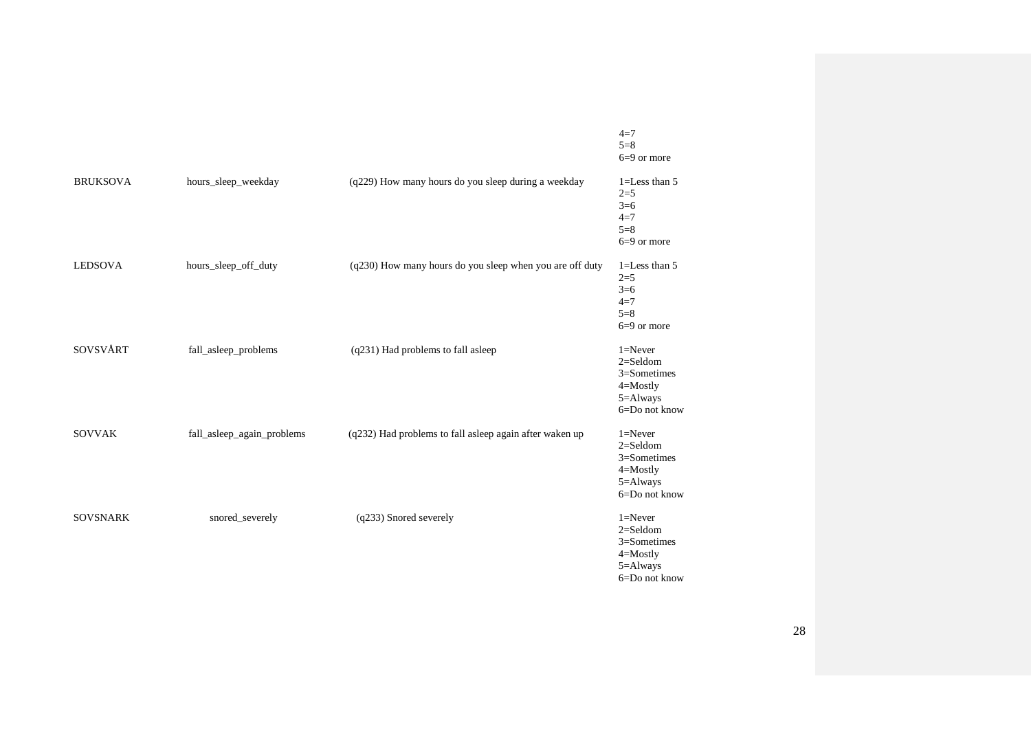|                 |                            |                                                          | $4 = 7$<br>$5 = 8$<br>$6=9$ or more                                                         |
|-----------------|----------------------------|----------------------------------------------------------|---------------------------------------------------------------------------------------------|
| <b>BRUKSOVA</b> | hours_sleep_weekday        | (q229) How many hours do you sleep during a weekday      | $1 =$ Less than 5<br>$2=5$<br>$3=6$<br>$4=7$<br>$5 = 8$<br>$6=9$ or more                    |
| <b>LEDSOVA</b>  | hours_sleep_off_duty       | (q230) How many hours do you sleep when you are off duty | $1 =$ Less than $5$<br>$2=5$<br>$3=6$<br>$4=7$<br>$5 = 8$<br>$6=9$ or more                  |
| SOVSVÅRT        | fall_asleep_problems       | (q231) Had problems to fall asleep                       | $1 =$ Never<br>$2 =$ Seldom<br>3=Sometimes<br>$4 =$ Mostly<br>$5 =$ Always<br>6=Do not know |
| <b>SOVVAK</b>   | fall_asleep_again_problems | (q232) Had problems to fall asleep again after waken up  | $1 =$ Never<br>$2 =$ Seldom<br>3=Sometimes<br>$4 =$ Mostly<br>5=Always<br>6=Do not know     |
| <b>SOVSNARK</b> | snored_severely            | (q233) Snored severely                                   | $1 =$ Never<br>$2 =$ Seldom<br>$3 =$ Sometimes<br>$4 =$ Mostly<br>5=Always<br>6=Do not know |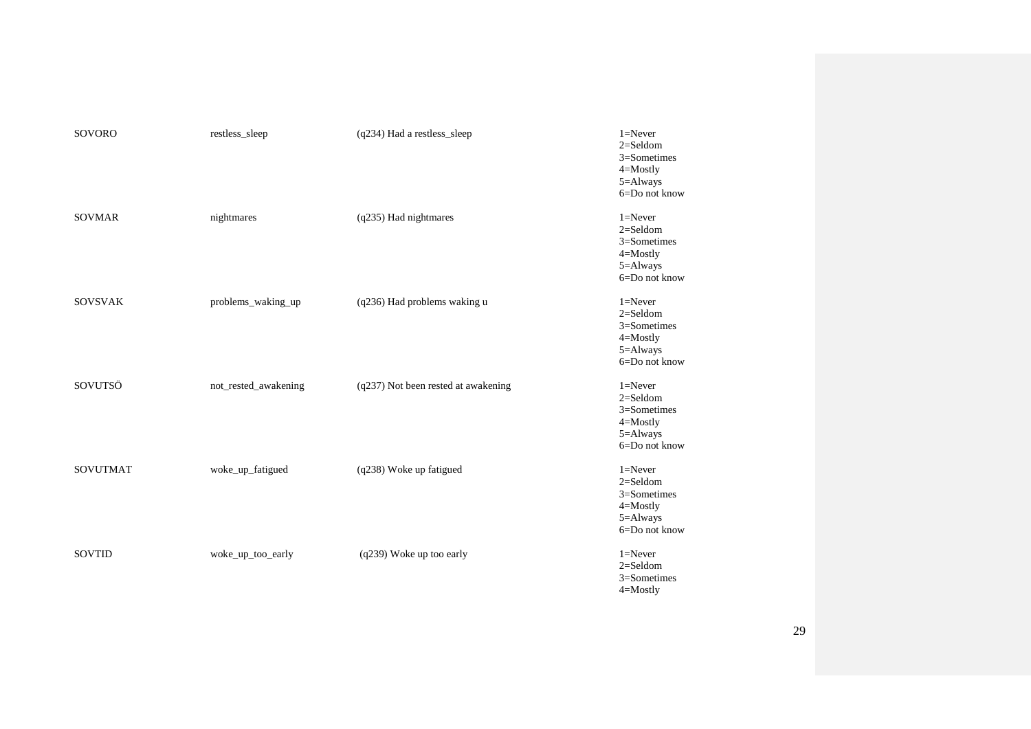| <b>SOVORO</b>   | restless_sleep       | (q234) Had a restless_sleep         | $1 =$ Never<br>$2 =$ Seldom<br>3=Sometimes<br>$4 =$ Mostly<br>5=Always<br>6=Do not know     |
|-----------------|----------------------|-------------------------------------|---------------------------------------------------------------------------------------------|
| <b>SOVMAR</b>   | nightmares           | (q235) Had nightmares               | $1 =$ Never<br>$2 =$ Seldom<br>$3 =$ Sometimes<br>4=Mostly<br>5=Always<br>6=Do not know     |
| <b>SOVSVAK</b>  | problems_waking_up   | (q236) Had problems waking u        | $1 =$ Never<br>$2 =$ Seldom<br>$3 =$ Sometimes<br>4=Mostly<br>5=Always<br>6=Do not know     |
| SOVUTSÖ         | not_rested_awakening | (q237) Not been rested at awakening | $1 =$ Never<br>$2 =$ Seldom<br>$3 =$ Sometimes<br>$4 =$ Mostly<br>5=Always<br>6=Do not know |
| <b>SOVUTMAT</b> | woke_up_fatigued     | (q238) Woke up fatigued             | $1 =$ Never<br>$2 =$ Seldom<br>3=Sometimes<br>$4 =$ Mostly<br>5=Always<br>6=Do not know     |
| SOVTID          | woke_up_too_early    | (q239) Woke up too early            | $1 =$ Never<br>$2 =$ Seldom<br>3=Sometimes<br>$4 =$ Mostly                                  |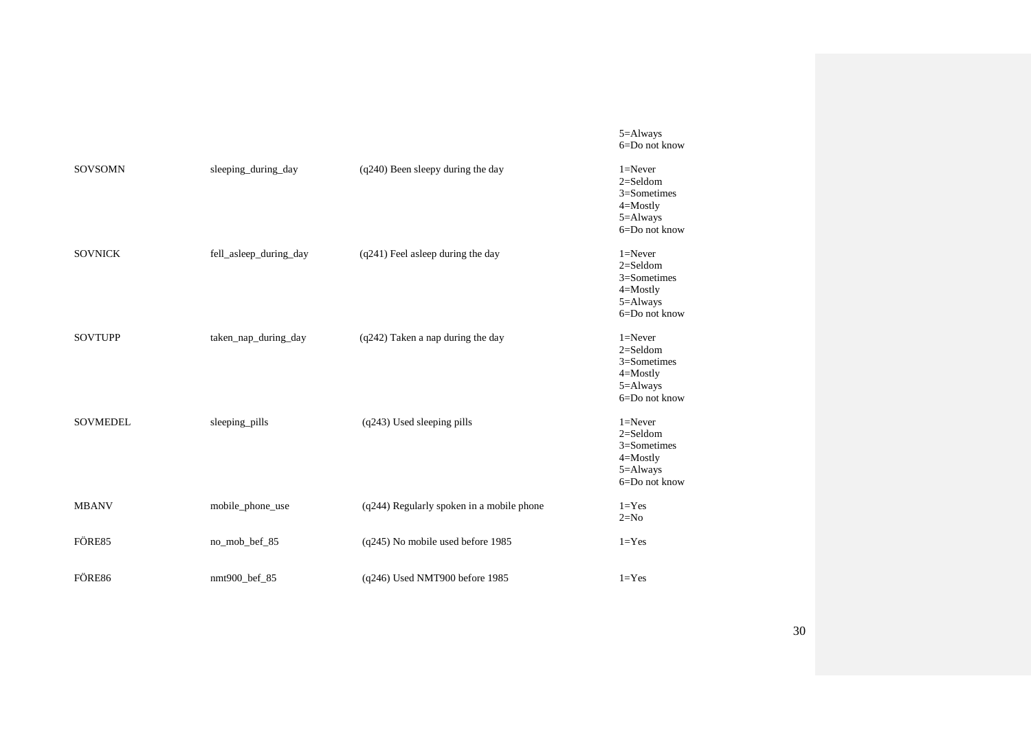|                 |                        |                                           | 5=Always<br>6=Do not know                                                                   |
|-----------------|------------------------|-------------------------------------------|---------------------------------------------------------------------------------------------|
| <b>SOVSOMN</b>  | sleeping_during_day    | (q240) Been sleepy during the day         | $1 =$ Never<br>$2 =$ Seldom<br>$3 =$ Sometimes<br>$4 =$ Mostly<br>5=Always<br>6=Do not know |
| <b>SOVNICK</b>  | fell_asleep_during_day | (q241) Feel asleep during the day         | $1 =$ Never<br>$2 =$ Seldom<br>$3 =$ Sometimes<br>$4 =$ Mostly<br>5=Always<br>6=Do not know |
| <b>SOVTUPP</b>  | taken_nap_during_day   | (q242) Taken a nap during the day         | $1 =$ Never<br>$2 =$ Seldom<br>$3 =$ Sometimes<br>$4 =$ Mostly<br>5=Always<br>6=Do not know |
| <b>SOVMEDEL</b> | sleeping_pills         | (q243) Used sleeping pills                | $1 =$ Never<br>$2 =$ Seldom<br>$3 =$ Sometimes<br>$4 =$ Mostly<br>5=Always<br>6=Do not know |
| <b>MBANV</b>    | mobile_phone_use       | (q244) Regularly spoken in a mobile phone | $1 = Yes$<br>$2=N0$                                                                         |
| FÖRE85          | no_mob_bef_85          | (q245) No mobile used before 1985         | $1 = Yes$                                                                                   |
| FÖRE86          | nmt900_bef_85          | (q246) Used NMT900 before 1985            | $1 = Yes$                                                                                   |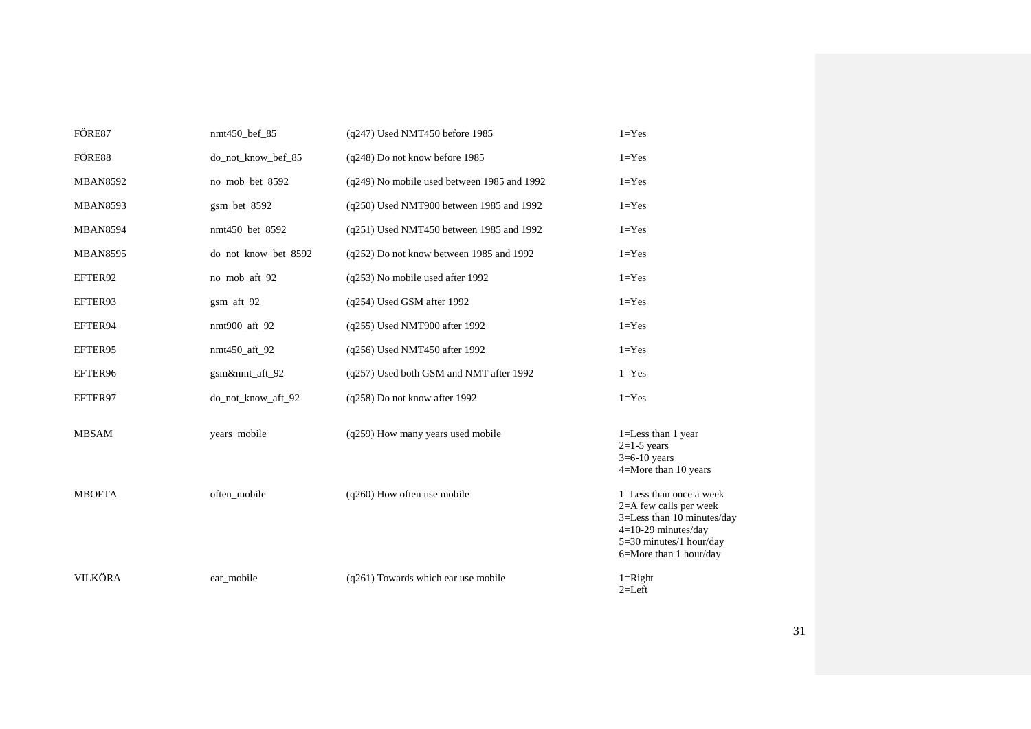| FÖRE87          | nmt450_bef_85        | (q247) Used NMT450 before 1985              | $1 = Yes$                                                                                                                                                        |
|-----------------|----------------------|---------------------------------------------|------------------------------------------------------------------------------------------------------------------------------------------------------------------|
| FÖRE88          | do_not_know_bef_85   | (q248) Do not know before 1985              | $1 = Yes$                                                                                                                                                        |
| <b>MBAN8592</b> | no_mob_bet_8592      | (q249) No mobile used between 1985 and 1992 | $1 = Yes$                                                                                                                                                        |
| <b>MBAN8593</b> | $gsm$ bet $8592$     | (q250) Used NMT900 between 1985 and 1992    | $1 = Yes$                                                                                                                                                        |
| <b>MBAN8594</b> | nmt450 bet 8592      | (q251) Used NMT450 between 1985 and 1992    | $1 = Yes$                                                                                                                                                        |
| <b>MBAN8595</b> | do not know bet 8592 | $(q252)$ Do not know between 1985 and 1992  | $1 = Yes$                                                                                                                                                        |
| EFTER92         | no_mob_aft_92        | (q253) No mobile used after 1992            | $1 = Yes$                                                                                                                                                        |
| EFTER93         | gsm_aft_92           | $(q254)$ Used GSM after 1992                | $1 = Yes$                                                                                                                                                        |
| EFTER94         | nmt900_aft_92        | (q255) Used NMT900 after 1992               | $1 = Yes$                                                                                                                                                        |
| EFTER95         | nmt450_aft_92        | (q256) Used NMT450 after 1992               | $1 = Yes$                                                                                                                                                        |
| EFTER96         | gsm&nmt_aft_92       | (q257) Used both GSM and NMT after 1992     | $1 = Yes$                                                                                                                                                        |
| EFTER97         | do_not_know_aft_92   | (q258) Do not know after 1992               | $1 = Yes$                                                                                                                                                        |
| <b>MBSAM</b>    | years_mobile         | (q259) How many years used mobile           | 1=Less than 1 year<br>$2=1-5$ years<br>$3=6-10$ years<br>4=More than 10 years                                                                                    |
| <b>MBOFTA</b>   | often_mobile         | $(q260)$ How often use mobile               | 1=Less than once a week<br>$2=$ A few calls per week<br>3=Less than 10 minutes/day<br>$4=10-29$ minutes/day<br>5=30 minutes/1 hour/day<br>6=More than 1 hour/day |
| <b>VILKÖRA</b>  | ear mobile           | (q261) Towards which ear use mobile         | $1 =$ Right<br>$2=Left$                                                                                                                                          |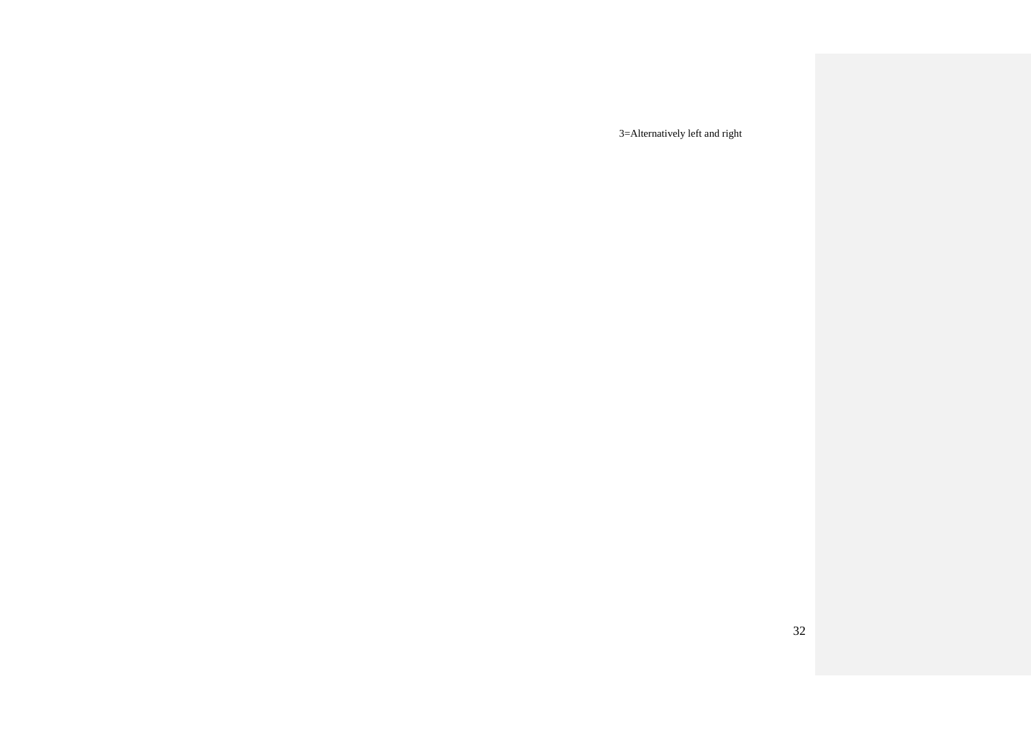3=Alternatively left and right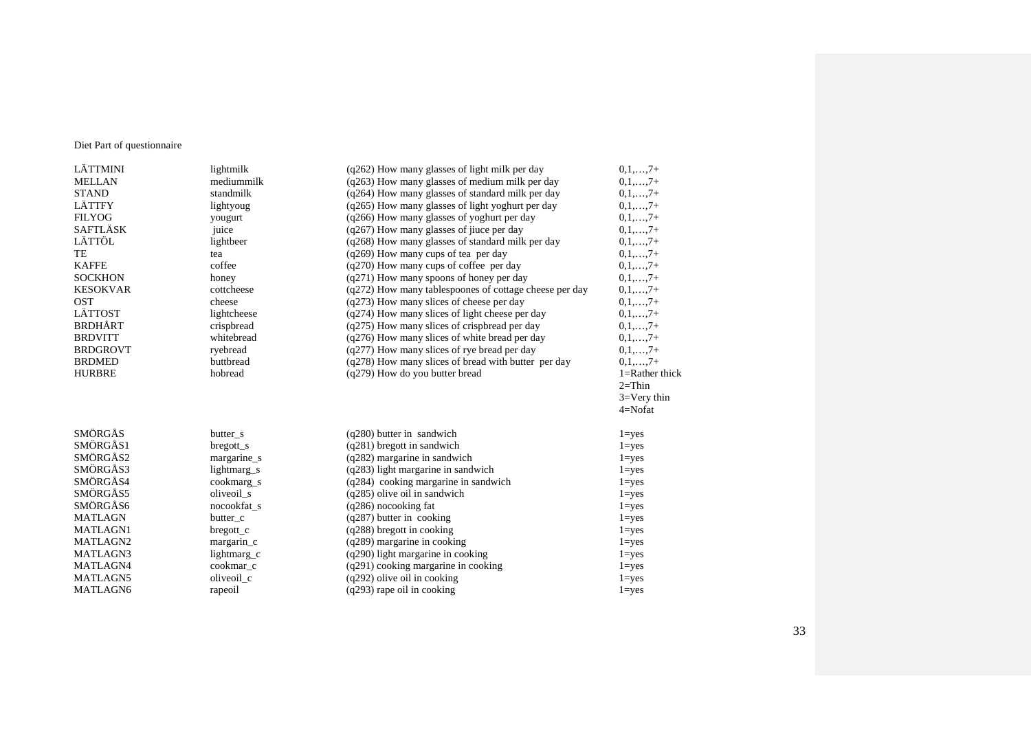## Diet Part of questionnaire

| LÄTTMINI        | lightmilk    | (q262) How many glasses of light milk per day          | $0,1,,7+$       |
|-----------------|--------------|--------------------------------------------------------|-----------------|
| <b>MELLAN</b>   | mediummilk   | (q263) How many glasses of medium milk per day         | $0,1,,7+$       |
| <b>STAND</b>    | standmilk    | (q264) How many glasses of standard milk per day       | $0,1,,7+$       |
| <b>LÄTTFY</b>   | lightyoug    | (q265) How many glasses of light yoghurt per day       | $0,1,,7+$       |
| <b>FILYOG</b>   | yougurt      | (q266) How many glasses of yoghurt per day             | $0,1,,7+$       |
| <b>SAFTLÄSK</b> | juice        | (q267) How many glasses of jiuce per day               | $0,1,,7+$       |
| LÄTTÖL          | lightbeer    | (q268) How many glasses of standard milk per day       | $0,1,,7+$       |
| TE              | tea          | $(q269)$ How many cups of tea per day                  | $0,1,,7+$       |
| <b>KAFFE</b>    | coffee       | (q270) How many cups of coffee per day                 | $0,1,,7+$       |
| <b>SOCKHON</b>  | honey        | $(q271)$ How many spoons of honey per day              | $0,1,,7+$       |
| <b>KESOKVAR</b> | cottcheese   | (q272) How many tablespoones of cottage cheese per day | $0,1,,7+$       |
| <b>OST</b>      | cheese       | $(q273)$ How many slices of cheese per day             | $0,1,,7+$       |
| <b>LÄTTOST</b>  | lightcheese  | $(q274)$ How many slices of light cheese per day       | $0,1,,7+$       |
| <b>BRDHÅRT</b>  | crispbread   | (q275) How many slices of crispbread per day           | $0,1,,7+$       |
| <b>BRDVITT</b>  | whitebread   | $(q276)$ How many slices of white bread per day        | $0,1,,7+$       |
| <b>BRDGROVT</b> | ryebread     | $(q277)$ How many slices of rye bread per day          | $0,1,,7+$       |
| <b>BRDMED</b>   | buttbread    | (q278) How many slices of bread with butter per day    | $0,1,\ldots,7+$ |
| <b>HURBRE</b>   | hobread      | (q279) How do you butter bread                         | 1=Rather thick  |
|                 |              |                                                        | $2 = Thin$      |
|                 |              |                                                        | $3=$ Very thin  |
|                 |              |                                                        | $4=Nofat$       |
| SMÖRGÅS         | butter_s     | $(q280)$ butter in sandwich                            | $1 = yes$       |
| SMÖRGÅS1        | $b$ regott_s | $(q281)$ bregott in sandwich                           | $1 = yes$       |
| SMÖRGÅS2        | margarine_s  | $(q282)$ margarine in sandwich                         | $1 = yes$       |
| SMÖRGÅS3        | lightmarg s  | $(q283)$ light margarine in sandwich                   | $1 = yes$       |
| SMÖRGÅS4        | cookmarg_s   | $(q284)$ cooking margarine in sandwich                 | $1 = yes$       |
| SMÖRGÅS5        | oliveoil_s   | $(q285)$ olive oil in sandwich                         | $1 = yes$       |
| SMÖRGÅS6        | nocookfat_s  | (q286) nocooking fat                                   | $1 = yes$       |
| <b>MATLAGN</b>  | butter_c     | $(q287)$ butter in cooking                             | $1 = yes$       |
| MATLAGN1        | bregott_c    | (q288) bregott in cooking                              | $1 = yes$       |
| MATLAGN2        | margarin_c   | (q289) margarine in cooking                            | $1 = yes$       |
| MATLAGN3        | lightmarg c  | (q290) light margarine in cooking                      | $1 = yes$       |
| MATLAGN4        | cookmar c    | $(q291)$ cooking margarine in cooking                  | $1 = yes$       |
| MATLAGN5        |              |                                                        |                 |
|                 | oliveoil c   | $(q292)$ olive oil in cooking                          | $1 = yes$       |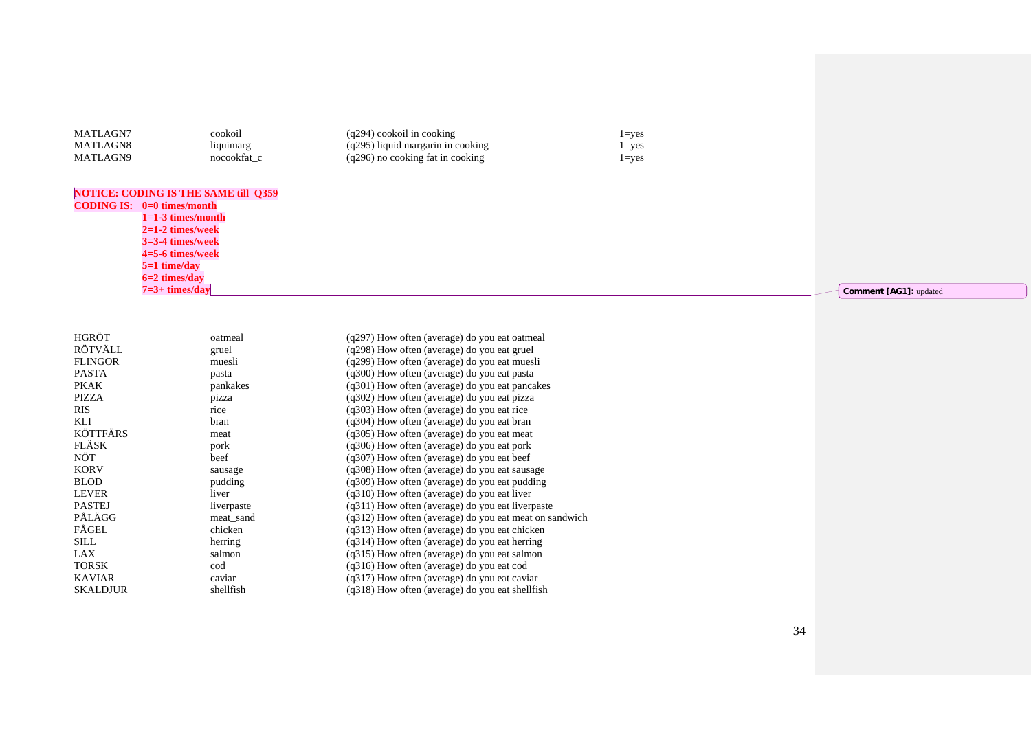| MATLAGN7 | cookoil     | $(q294)$ cookoil in cooking         | $=$ ves   |
|----------|-------------|-------------------------------------|-----------|
| MATLAGN8 | liquimarg   | $(q295)$ liquid margarin in cooking | $l = ves$ |
| MATLAGN9 | nocookfat c | $(q296)$ no cooking fat in cooking  | $=$ ves   |

#### **NOTICE: CODING IS THE SAME till Q359**

**CODING IS: 0=0 times/month 1=1-3 times/month 2=1-2 times/week 3=3-4 times/week 4=5-6 times/week 5=1 time/day 6=2 times/day 7=3+ times/day**

| HGRÖT           | oatmeal    | (q297) How often (average) do you eat oatmeal            |
|-----------------|------------|----------------------------------------------------------|
| RÖTVÄLL         | gruel      | (q298) How often (average) do you eat gruel              |
| <b>FLINGOR</b>  | muesli     | (q299) How often (average) do you eat muesli             |
| <b>PASTA</b>    | pasta      | (q300) How often (average) do you eat pasta              |
| PKAK            | pankakes   | $(q301)$ How often (average) do you eat pancakes         |
| PIZZA           | pizza      | (q302) How often (average) do you eat pizza              |
| <b>RIS</b>      | rice       | (q303) How often (average) do you eat rice               |
| KLI             | bran       | (q304) How often (average) do you eat bran               |
| <b>KÖTTFÄRS</b> | meat       | (q305) How often (average) do you eat meat               |
| <b>FLÄSK</b>    | pork       | $(q306)$ How often (average) do you eat pork             |
| NÖT             | beef       | $(q307)$ How often (average) do you eat beef             |
| <b>KORV</b>     | sausage    | (q308) How often (average) do you eat sausage            |
| <b>BLOD</b>     | pudding    | $(q309)$ How often (average) do you eat pudding          |
| <b>LEVER</b>    | liver      | $(q310)$ How often (average) do you eat liver            |
| <b>PASTEJ</b>   | liverpaste | $(q311)$ How often (average) do you eat liverpaste       |
| PÅLÄGG          | meat sand  | $(q312)$ How often (average) do you eat meat on sandwich |
| FÅGEL           | chicken    | (q313) How often (average) do you eat chicken            |
| SILL            | herring    | (q314) How often (average) do you eat herring            |
| LAX             | salmon     | (q315) How often (average) do you eat salmon             |
| <b>TORSK</b>    | cod        | (q316) How often (average) do you eat cod                |
| <b>KAVIAR</b>   | caviar     | (q317) How often (average) do you eat caviar             |
| <b>SKALDJUR</b> | shellfish  | $(q318)$ How often (average) do you eat shell fish       |
|                 |            |                                                          |

**Comment [AG1]: updated**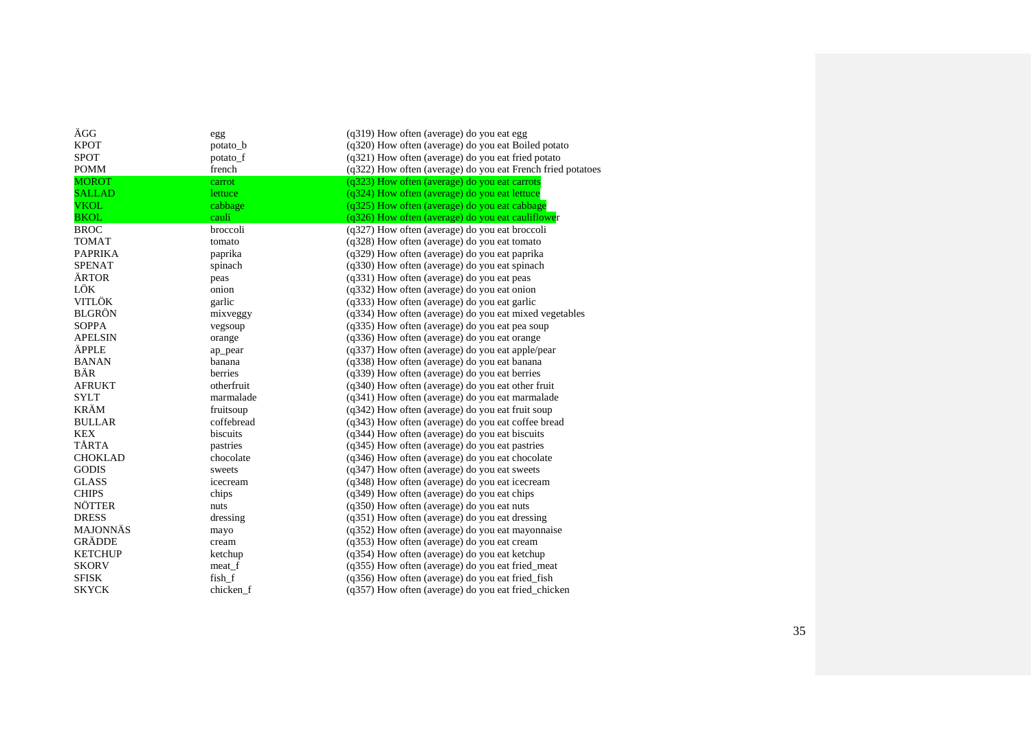| AGG             | egg        | (q319) How often (average) do you eat egg                   |
|-----------------|------------|-------------------------------------------------------------|
| <b>KPOT</b>     | potato_b   | (q320) How often (average) do you eat Boiled potato         |
| <b>SPOT</b>     | potato_f   | $(q321)$ How often (average) do you eat fried potato        |
| <b>POMM</b>     | french     | (q322) How often (average) do you eat French fried potatoes |
| <b>MOROT</b>    | carrot     | (q323) How often (average) do you eat carrots               |
| <b>SALLAD</b>   | lettuce    | (q324) How often (average) do you eat lettuce               |
| <b>VKOL</b>     | cabbage    | (q325) How often (average) do you eat cabbage               |
| <b>BKOL</b>     | cauli      | (q326) How often (average) do you eat cauliflower           |
| <b>BROC</b>     | broccoli   | (q327) How often (average) do you eat broccoli              |
| <b>TOMAT</b>    | tomato     | (q328) How often (average) do you eat tomato                |
| <b>PAPRIKA</b>  | paprika    | (q329) How often (average) do you eat paprika               |
| <b>SPENAT</b>   | spinach    | (q330) How often (average) do you eat spinach               |
| <b>ÄRTOR</b>    | peas       | (q331) How often (average) do you eat peas                  |
| LÖK             | onion      | (q332) How often (average) do you eat onion                 |
| <b>VITLÖK</b>   | garlic     | (q333) How often (average) do you eat garlic                |
| <b>BLGRÖN</b>   | mixveggy   | (q334) How often (average) do you eat mixed vegetables      |
| <b>SOPPA</b>    | vegsoup    | (q335) How often (average) do you eat pea soup              |
| <b>APELSIN</b>  | orange     | (q336) How often (average) do you eat orange                |
| ÄPPLE           | ap_pear    | $(q337)$ How often (average) do you eat apple/pear          |
| <b>BANAN</b>    | banana     | (q338) How often (average) do you eat banana                |
| BÄR             | berries    | (q339) How often (average) do you eat berries               |
| <b>AFRUKT</b>   | otherfruit | (q340) How often (average) do you eat other fruit           |
| <b>SYLT</b>     | marmalade  | (q341) How often (average) do you eat marmalade             |
| <b>KRÄM</b>     | fruitsoup  | $(q342)$ How often (average) do you eat fruit soup          |
| <b>BULLAR</b>   | coffebread | (q343) How often (average) do you eat coffee bread          |
| <b>KEX</b>      | biscuits   | (q344) How often (average) do you eat biscuits              |
| TÅRTA           | pastries   | (q345) How often (average) do you eat pastries              |
| <b>CHOKLAD</b>  | chocolate  | (q346) How often (average) do you eat chocolate             |
| <b>GODIS</b>    | sweets     | (q347) How often (average) do you eat sweets                |
| <b>GLASS</b>    | icecream   | (q348) How often (average) do you eat icecream              |
| <b>CHIPS</b>    | chips      | (q349) How often (average) do you eat chips                 |
| <b>NÖTTER</b>   | nuts       | (q350) How often (average) do you eat nuts                  |
| <b>DRESS</b>    | dressing   | $(q351)$ How often (average) do you eat dressing            |
| <b>MAJONNÄS</b> | mayo       | (q352) How often (average) do you eat mayonnaise            |
| <b>GRÄDDE</b>   | cream      | (q353) How often (average) do you eat cream                 |
| <b>KETCHUP</b>  | ketchup    | (q354) How often (average) do you eat ketchup               |
| <b>SKORV</b>    | meat_f     | (q355) How often (average) do you eat fried_meat            |
| <b>SFISK</b>    | fish f     | (q356) How often (average) do you eat fried fish            |
| <b>SKYCK</b>    | chicken f  | (q357) How often (average) do you eat fried chicken         |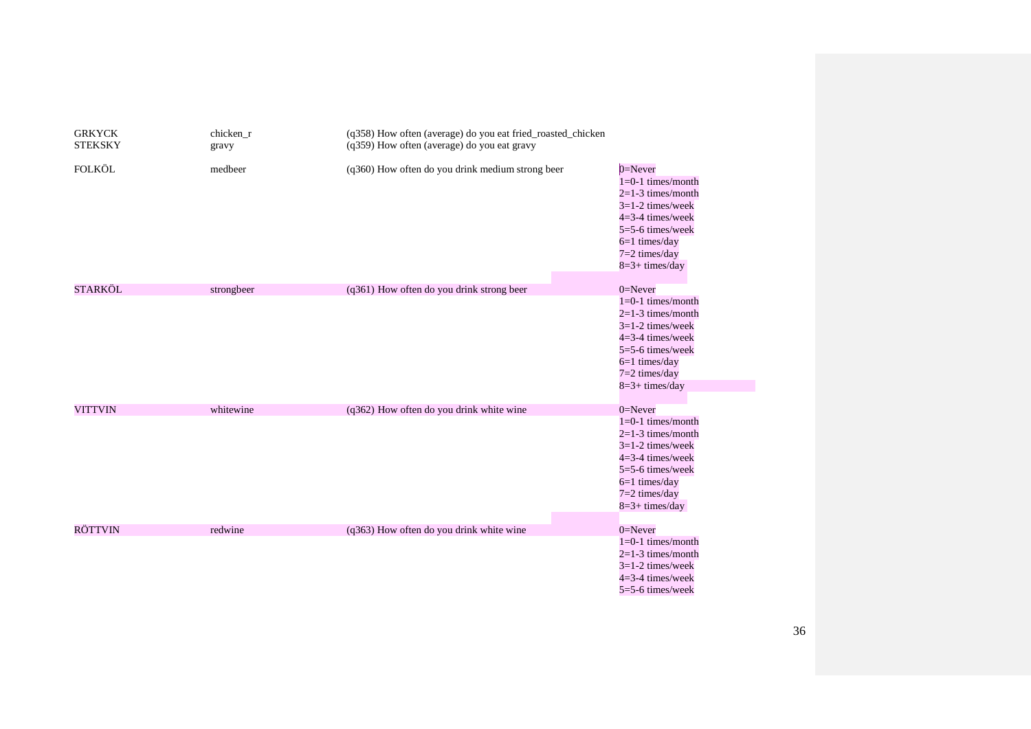| <b>GRKYCK</b><br><b>STEKSKY</b> | chicken_r<br>gravy | (q358) How often (average) do you eat fried_roasted_chicken<br>(q359) How often (average) do you eat gravy |                                                                                                                                                                                     |
|---------------------------------|--------------------|------------------------------------------------------------------------------------------------------------|-------------------------------------------------------------------------------------------------------------------------------------------------------------------------------------|
| <b>FOLKÖL</b>                   | medbeer            | (q360) How often do you drink medium strong beer                                                           | $0 =$ Never<br>$1=0-1$ times/month<br>$2=1-3$ times/month<br>$3=1-2$ times/week<br>$4=3-4$ times/week<br>5=5-6 times/week<br>$6=1$ times/day<br>$7=2$ times/day<br>$8=3+$ times/day |
| <b>STARKÖL</b>                  | strongbeer         | (q361) How often do you drink strong beer                                                                  | $0 =$ Never                                                                                                                                                                         |
|                                 |                    |                                                                                                            | $1=0-1$ times/month<br>$2=1-3$ times/month<br>$3=1-2$ times/week<br>$4=3-4$ times/week<br>$5=5-6$ times/week<br>$6=1$ times/day<br>$7=2$ times/day<br>$8=3+$ times/day              |
| <b>VITTVIN</b>                  | whitewine          | (q362) How often do you drink white wine                                                                   | $0=$ Never                                                                                                                                                                          |
|                                 |                    |                                                                                                            | $1=0-1$ times/month<br>$2=1-3$ times/month<br>$3=1-2$ times/week<br>$4=3-4$ times/week<br>5=5-6 times/week<br>$6=1$ times/day<br>$7=2$ times/day<br>$8=3+$ times/day                |
| <b>RÖTTVIN</b>                  | redwine            |                                                                                                            | $0 =$ Never                                                                                                                                                                         |
|                                 |                    | (q363) How often do you drink white wine                                                                   | $1=0-1$ times/month<br>$2=1-3$ times/month<br>$3=1-2$ times/week<br>$4=3-4$ times/week<br>5=5-6 times/week                                                                          |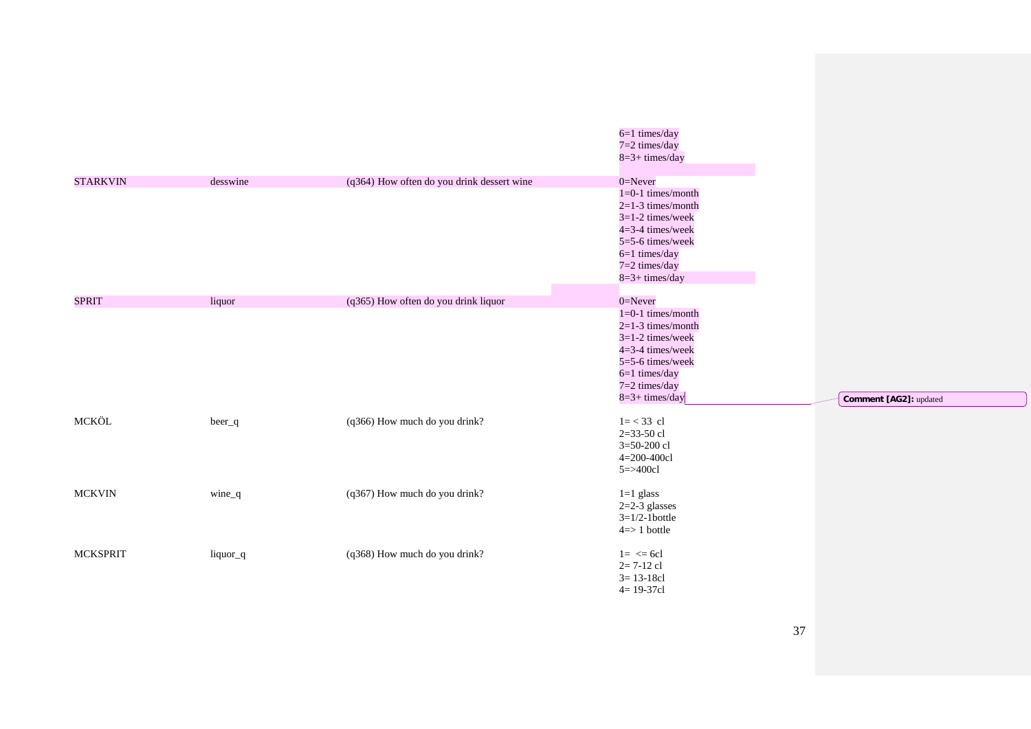|                 |          |                                            | $6=1$ times/day<br>$7=2$ times/day<br>$8=3+$ times/day                                                                                                                            |                        |
|-----------------|----------|--------------------------------------------|-----------------------------------------------------------------------------------------------------------------------------------------------------------------------------------|------------------------|
| <b>STARKVIN</b> | desswine | (q364) How often do you drink dessert wine | $0 =$ Never<br>$1=0-1$ times/month<br>$2=1-3$ times/month<br>$3=1-2$ times/week<br>4=3-4 times/week<br>5=5-6 times/week<br>$6=1$ times/day<br>$7=2$ times/day<br>$8=3+$ times/day |                        |
| <b>SPRIT</b>    | liquor   | (q365) How often do you drink liquor       | $0 =$ Never<br>$1=0-1$ times/month<br>$2=1-3$ times/month<br>$3=1-2$ times/week<br>4=3-4 times/week<br>5=5-6 times/week<br>$6=1$ times/day<br>$7=2$ times/day<br>$8=3+$ times/day | Comment [AG2]: updated |
| MCKÖL           | beer_q   | (q366) How much do you drink?              | $1 = < 33$ cl<br>$2=33-50$ cl<br>$3=50-200$ cl<br>4=200-400cl<br>$5 = > 400c1$                                                                                                    |                        |
| <b>MCKVIN</b>   | wine_q   | (q367) How much do you drink?              | $1=1$ glass<br>$2=2-3$ glasses<br>$3=1/2-1$ bottle<br>$4 \Rightarrow 1$ bottle                                                                                                    |                        |
| <b>MCKSPRIT</b> | liquor_q | (q368) How much do you drink?              | $1 = \leq 6c1$<br>$2=7-12$ cl<br>$3 = 13 - 18c1$<br>$4 = 19 - 37c1$                                                                                                               |                        |

37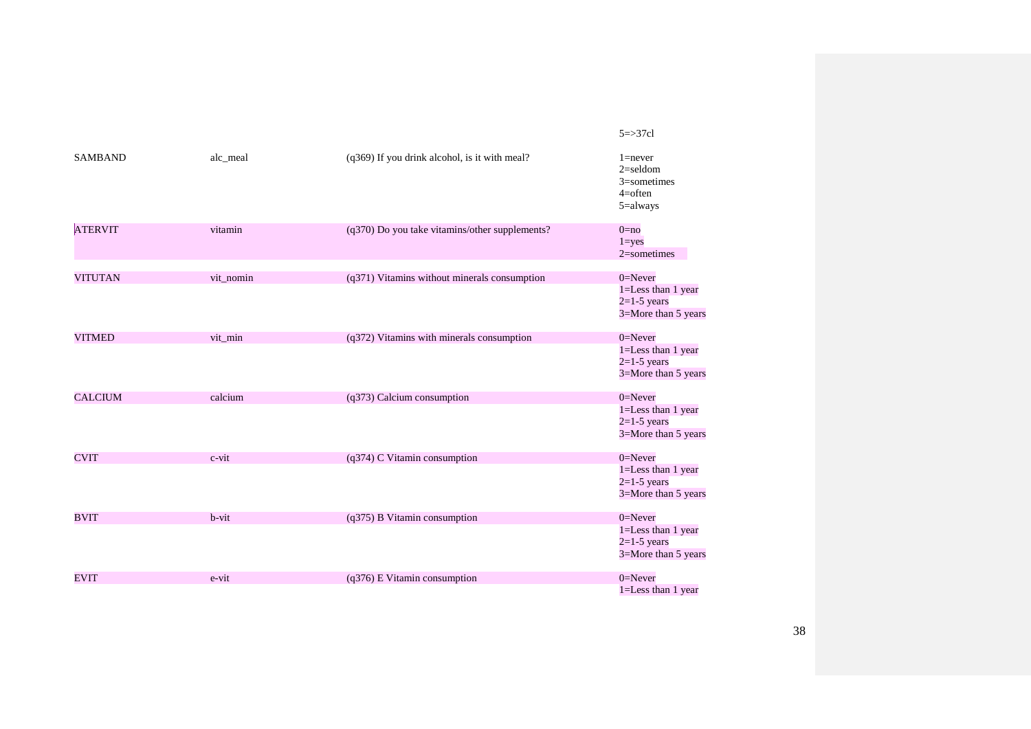| <b>SAMBAND</b> | alc meal  | (q369) If you drink alcohol, is it with meal?    | $1 =$ never<br>$2 =$ seldom<br>$3$ =sometimes<br>$4=$ often<br>$5 =$ always |
|----------------|-----------|--------------------------------------------------|-----------------------------------------------------------------------------|
| <b>ATERVIT</b> | vitamin   | $(q370)$ Do you take vitamins/other supplements? | $0 = no$<br>$1 = yes$<br>$2$ =sometimes                                     |
| <b>VITUTAN</b> | vit_nomin | (q371) Vitamins without minerals consumption     | $0 =$ Never<br>1=Less than 1 year<br>$2=1-5$ years<br>3=More than 5 years   |
| <b>VITMED</b>  | vit_min   | (q372) Vitamins with minerals consumption        | $0 =$ Never<br>1=Less than 1 year<br>$2=1-5$ years<br>3=More than 5 years   |
| <b>CALCIUM</b> | calcium   | (q373) Calcium consumption                       | $0 =$ Never<br>1=Less than 1 year<br>$2=1-5$ years<br>3=More than 5 years   |
| <b>CVIT</b>    | $c$ -vit  | (q374) C Vitamin consumption                     | $0 =$ Never<br>1=Less than 1 year<br>$2=1-5$ years<br>3=More than 5 years   |
| <b>BVIT</b>    | $b$ -vit  | $(q375)$ B Vitamin consumption                   | $0 =$ Never<br>1=Less than 1 year<br>$2=1-5$ years<br>3=More than 5 years   |
| <b>EVIT</b>    | e-vit     | $(q376)$ E Vitamin consumption                   | $0 =$ Never<br>1=Less than 1 year                                           |

### 5=>37cl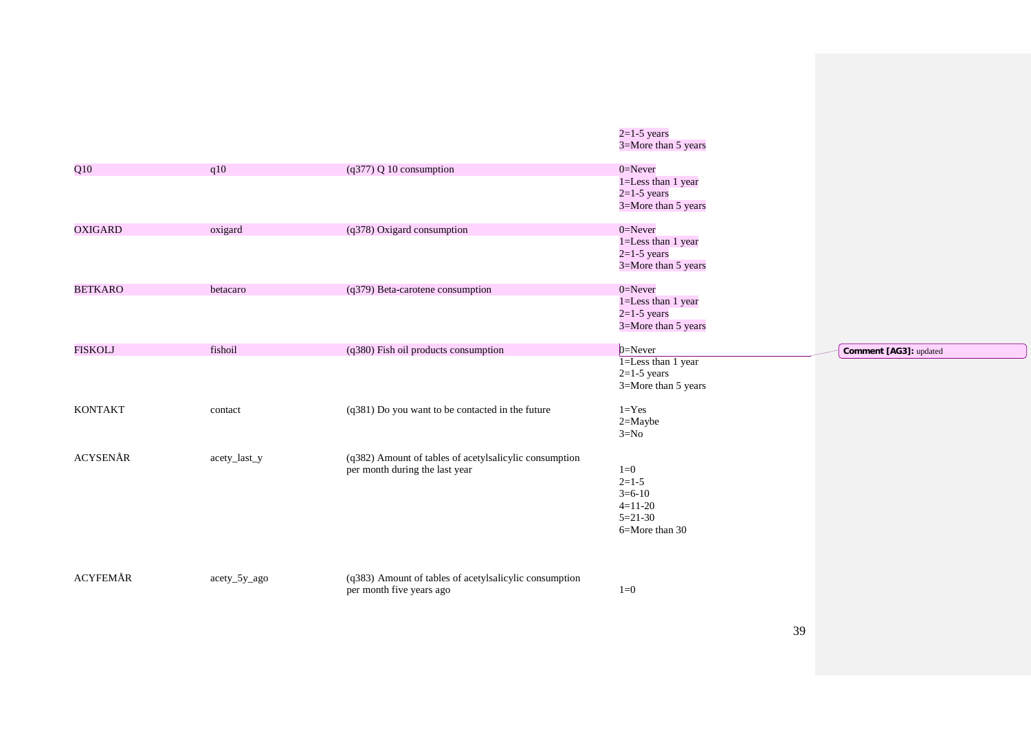|                |              |                                                                                          | $2=1-5$ years<br>3=More than 5 years                                      |                        |
|----------------|--------------|------------------------------------------------------------------------------------------|---------------------------------------------------------------------------|------------------------|
| Q10            | q10          | $(q377)$ Q 10 consumption                                                                | $0 =$ Never                                                               |                        |
|                |              |                                                                                          | $1 =$ Less than 1 year<br>$2=1-5$ years<br>3=More than 5 years            |                        |
| <b>OXIGARD</b> | oxigard      | (q378) Oxigard consumption                                                               | $0 =$ Never<br>1=Less than 1 year<br>$2=1-5$ years<br>3=More than 5 years |                        |
| <b>BETKARO</b> | betacaro     | (q379) Beta-carotene consumption                                                         | $0 =$ Never<br>1=Less than 1 year<br>$2=1-5$ years<br>3=More than 5 years |                        |
| <b>FISKOLJ</b> | fishoil      | (q380) Fish oil products consumption                                                     | $0$ =Never                                                                | Comment [AG3]: updated |
|                |              |                                                                                          | $1 =$ Less than 1 year<br>$2=1-5$ years<br>3=More than 5 years            |                        |
| <b>KONTAKT</b> | contact      | (q381) Do you want to be contacted in the future                                         | $1 = Yes$<br>$2 =$ Maybe<br>$3=N0$                                        |                        |
| ACYSENÅR       |              |                                                                                          |                                                                           |                        |
|                | acety_last_y | (q382) Amount of tables of acetylsalicylic consumption<br>per month during the last year | $1=0$<br>$2=1-5$<br>$3=6-10$<br>$4=11-20$<br>$5=21-30$<br>6=More than 30  |                        |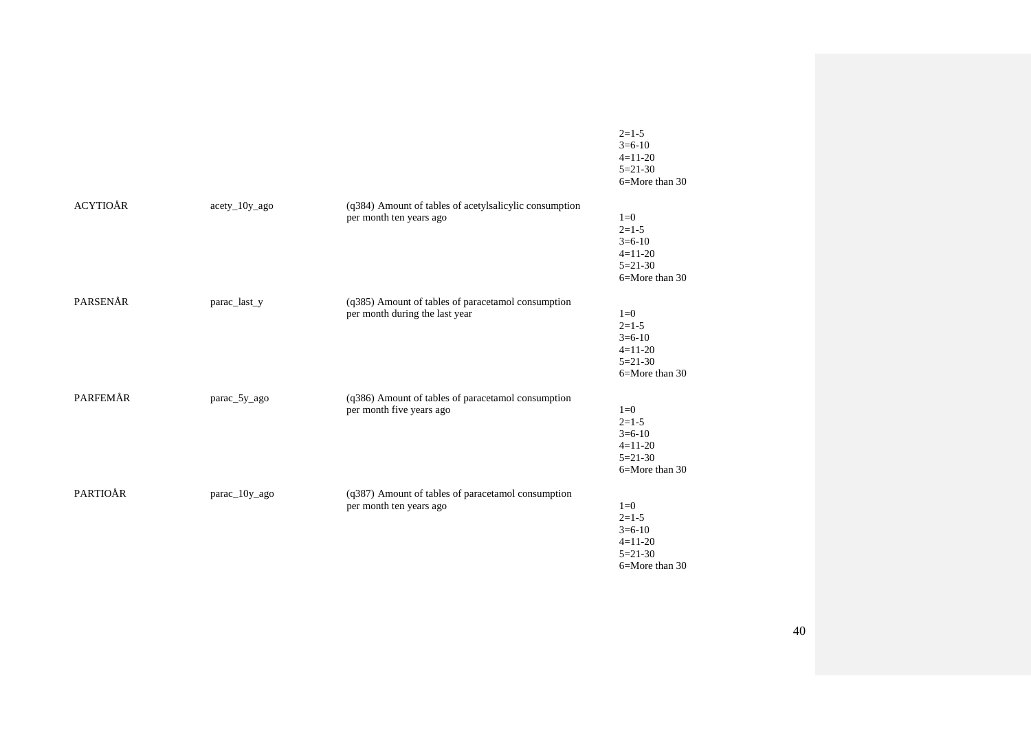|                 |               |                                                                                      | $2=1-5$<br>$3=6-10$<br>$4=11-20$<br>$5=21-30$<br>6=More than 30              |
|-----------------|---------------|--------------------------------------------------------------------------------------|------------------------------------------------------------------------------|
| <b>ACYTIOÅR</b> | acety_10y_ago | (q384) Amount of tables of acetylsalicylic consumption<br>per month ten years ago    | $1=0$<br>$2=1-5$<br>$3=6-10$<br>$4=11-20$<br>$5=21-30$<br>6=More than 30     |
| PARSENÅR        | parac_last_y  | (q385) Amount of tables of paracetamol consumption<br>per month during the last year | $1=0$<br>$2=1-5$<br>$3=6-10$<br>$4=11-20$<br>$5=21-30$<br>$6 =$ More than 30 |
| PARFEMÅR        | parac_5y_ago  | (q386) Amount of tables of paracetamol consumption<br>per month five years ago       | $1=0$<br>$2=1-5$<br>$3=6-10$<br>$4=11-20$<br>$5=21-30$<br>$6 =$ More than 30 |
| PARTIOÅR        | parac_10y_ago | (q387) Amount of tables of paracetamol consumption<br>per month ten years ago        | $1=0$<br>$2=1-5$<br>$3=6-10$<br>$4=11-20$<br>$5 = 21 - 30$<br>6=More than 30 |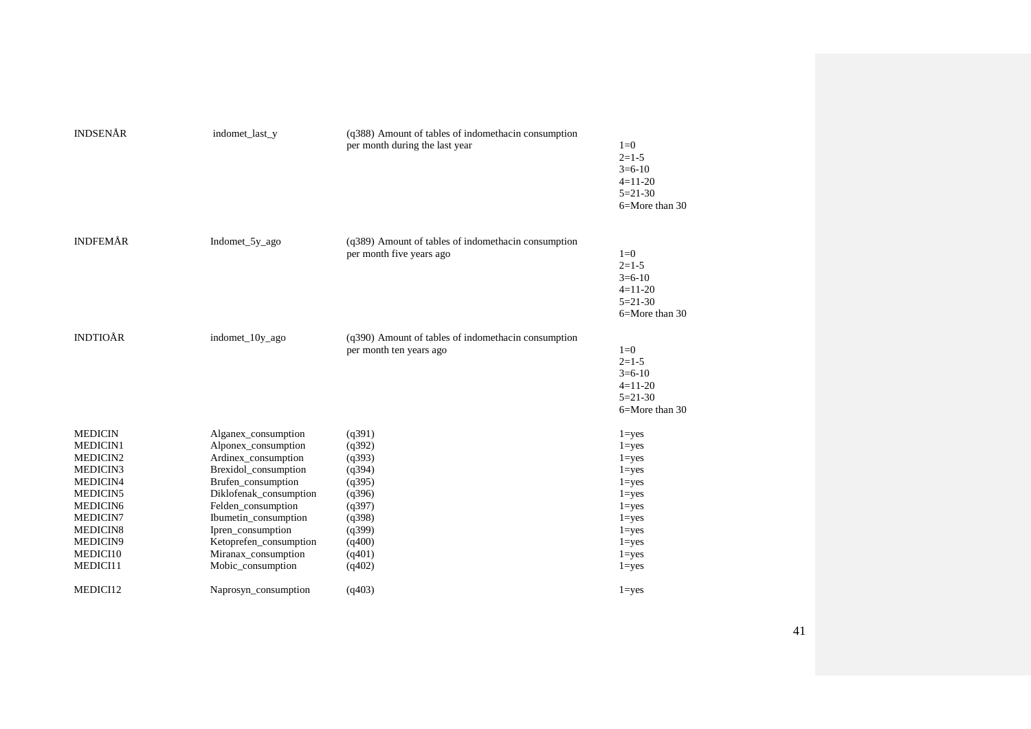| <b>INDSENÅR</b>                                                                                                                                                | indomet_last_y                                                                                                                                                                                                                                                                     | (q388) Amount of tables of indomethacin consumption<br>per month during the last year                                | $1=0$<br>$2=1-5$<br>$3=6-10$<br>$4=11-20$<br>$5 = 21 - 30$<br>6=More than 30                                                                             |
|----------------------------------------------------------------------------------------------------------------------------------------------------------------|------------------------------------------------------------------------------------------------------------------------------------------------------------------------------------------------------------------------------------------------------------------------------------|----------------------------------------------------------------------------------------------------------------------|----------------------------------------------------------------------------------------------------------------------------------------------------------|
| <b>INDFEMÅR</b>                                                                                                                                                | Indomet_5y_ago                                                                                                                                                                                                                                                                     | (q389) Amount of tables of indomethacin consumption<br>per month five years ago                                      | $1=0$<br>$2=1-5$<br>$3=6-10$<br>$4=11-20$<br>$5=21-30$<br>6=More than 30                                                                                 |
| <b>INDTIOÅR</b>                                                                                                                                                | indomet_10y_ago                                                                                                                                                                                                                                                                    | (q390) Amount of tables of indomethacin consumption<br>per month ten years ago                                       | $1=0$<br>$2=1-5$<br>$3=6-10$<br>$4=11-20$<br>$5=21-30$<br>6=More than 30                                                                                 |
| <b>MEDICIN</b><br>MEDICIN1<br>MEDICIN2<br>MEDICIN3<br>MEDICIN4<br>MEDICIN5<br>MEDICIN <sub>6</sub><br>MEDICIN7<br>MEDICIN8<br>MEDICIN9<br>MEDICI10<br>MEDICI11 | Alganex_consumption<br>Alponex_consumption<br>Ardinex_consumption<br>Brexidol_consumption<br>Brufen_consumption<br>Diklofenak_consumption<br>Felden_consumption<br>Ibumetin_consumption<br>Ipren_consumption<br>Ketoprefen_consumption<br>Miranax_consumption<br>Mobic_consumption | (q391)<br>(q392)<br>(q393)<br>(q394)<br>(q395)<br>(q396)<br>(q397)<br>(q398)<br>(q399)<br>(q400)<br>(q401)<br>(q402) | $1 = yes$<br>$1 = yes$<br>$1 = yes$<br>$1 = yes$<br>$1 = yes$<br>$1 = yes$<br>$1 = yes$<br>$1 = yes$<br>$1 = yes$<br>$1 = yes$<br>$1 = yes$<br>$1 = yes$ |
| MEDICI12                                                                                                                                                       | Naprosyn_consumption                                                                                                                                                                                                                                                               | (q403)                                                                                                               | $1 = yes$                                                                                                                                                |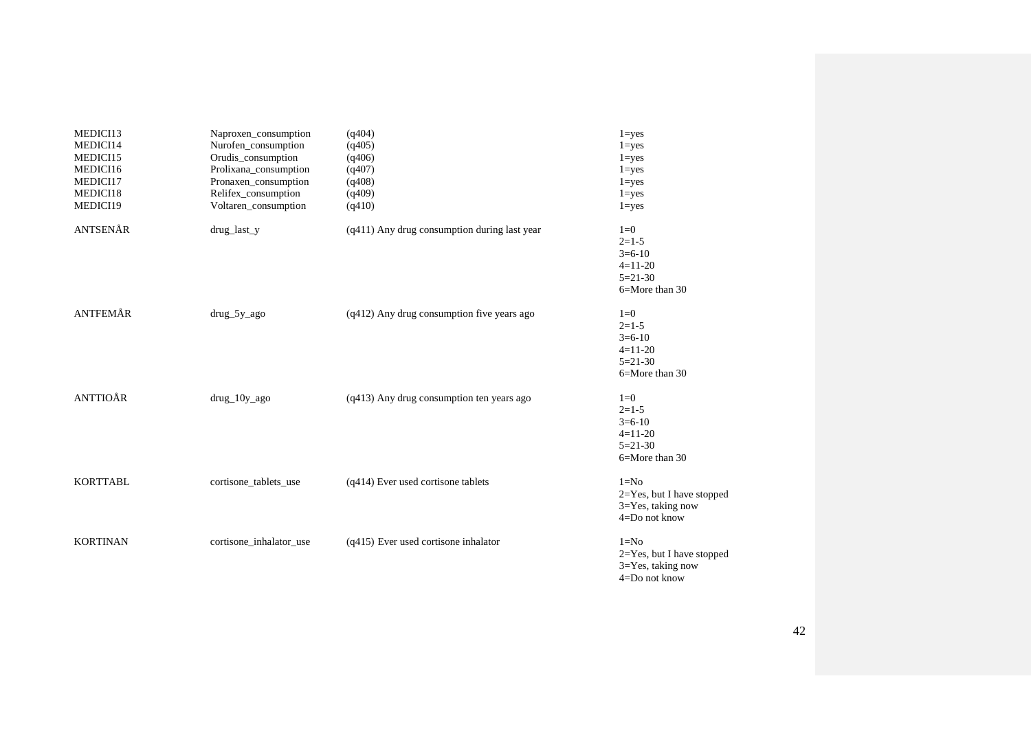| MEDICI13        | Naproxen_consumption    | (q404)                                         | $1 = yes$                      |
|-----------------|-------------------------|------------------------------------------------|--------------------------------|
| MEDICI14        | Nurofen_consumption     | (q405)                                         | $1 = yes$                      |
| MEDICI15        | Orudis_consumption      | (q406)                                         | $1 = yes$                      |
| MEDICI16        | Prolixana_consumption   | (q407)                                         | $1 = yes$                      |
| MEDICI17        | Pronaxen_consumption    | (q408)                                         | $1 = yes$                      |
| MEDICI18        | Relifex_consumption     | (q409)                                         | $1 = yes$                      |
| MEDICI19        | Voltaren_consumption    | (q410)                                         | $1 = yes$                      |
| ANTSENÅR        | drug_last_y             | $(q411)$ Any drug consumption during last year | $1=0$                          |
|                 |                         |                                                | $2=1-5$                        |
|                 |                         |                                                | $3=6-10$                       |
|                 |                         |                                                | $4=11-20$                      |
|                 |                         |                                                | $5=21-30$                      |
|                 |                         |                                                | 6=More than 30                 |
| <b>ANTFEMÅR</b> | $drug_5y_ago$           | $(q412)$ Any drug consumption five years ago   | $1=0$                          |
|                 |                         |                                                | $2=1-5$                        |
|                 |                         |                                                | $3=6-10$                       |
|                 |                         |                                                | $4=11-20$                      |
|                 |                         |                                                | $5=21-30$                      |
|                 |                         |                                                | 6=More than 30                 |
| <b>ANTTIOÅR</b> | $drug_10y_2go$          | $(q413)$ Any drug consumption ten years ago    | $1=0$                          |
|                 |                         |                                                | $2=1-5$                        |
|                 |                         |                                                | $3=6-10$                       |
|                 |                         |                                                | $4=11-20$                      |
|                 |                         |                                                | $5=21-30$                      |
|                 |                         |                                                | 6=More than 30                 |
| <b>KORTTABL</b> | cortisone_tablets_use   | (q414) Ever used cortisone tablets             | $1 = No$                       |
|                 |                         |                                                | 2=Yes, but I have stopped      |
|                 |                         |                                                | 3=Yes, taking now              |
|                 |                         |                                                | $4 = Do$ not know              |
| <b>KORTINAN</b> | cortisone_inhalator_use | $(q415)$ Ever used cortisone inhalator         | $1 = No$                       |
|                 |                         |                                                | $2 = Yes$ , but I have stopped |
|                 |                         |                                                | $3 = Yes$ , taking now         |

4=Do not know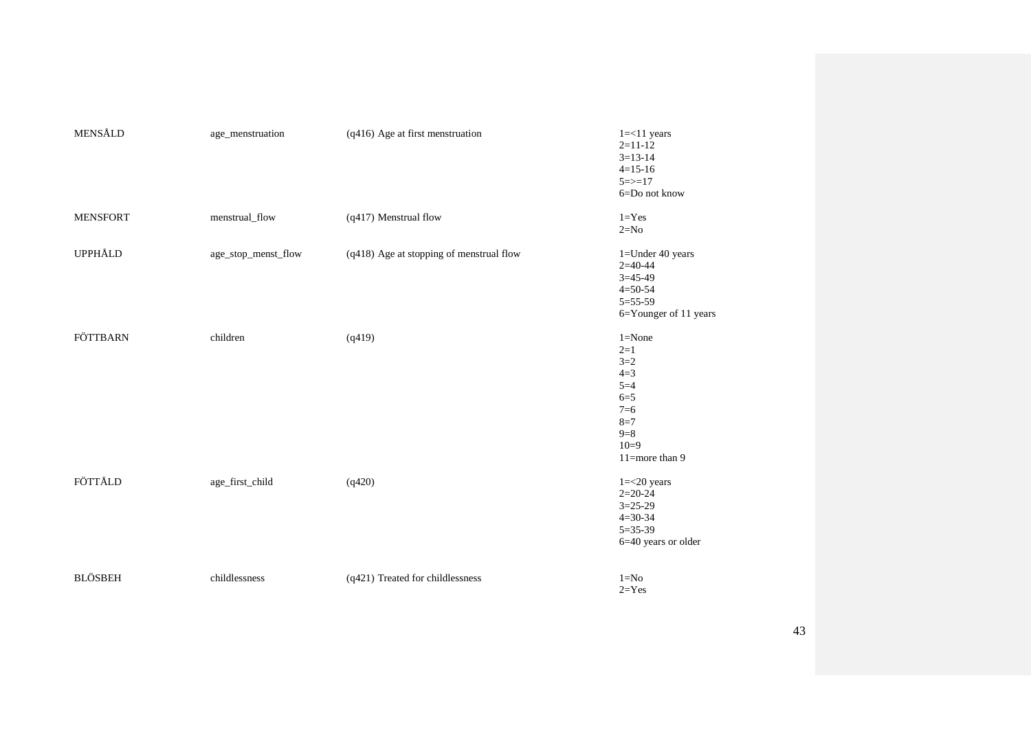| MENSÅLD         | age_menstruation    | (q416) Age at first menstruation         | $1 = < 11$ years<br>$2=11-12$<br>$3=13-14$<br>$4=15-16$<br>$5 = > 17$<br>6=Do not know                               |
|-----------------|---------------------|------------------------------------------|----------------------------------------------------------------------------------------------------------------------|
| <b>MENSFORT</b> | menstrual_flow      | (q417) Menstrual flow                    | $1 = Yes$<br>$2=N0$                                                                                                  |
| UPPHÅLD         | age_stop_menst_flow | (q418) Age at stopping of menstrual flow | $1 =$ Under 40 years<br>$2=40-44$<br>$3 = 45 - 49$<br>$4 = 50 - 54$<br>$5 = 55 - 59$<br>6=Younger of 11 years        |
| FÖTTBARN        | children            | (q419)                                   | $1 = None$<br>$2 = 1$<br>$3=2$<br>$4=3$<br>$5=4$<br>$6=5$<br>$7=6$<br>$8 = 7$<br>$9 = 8$<br>$10=9$<br>11=more than 9 |
| FÖTTÅLD         | age_first_child     | (q420)                                   | $1 = 20$ years<br>$2=20-24$<br>$3=25-29$<br>$4 = 30 - 34$<br>$5 = 35 - 39$<br>6=40 years or older                    |
| <b>BLÖSBEH</b>  | childlessness       | (q421) Treated for childlessness         | $1 = No$<br>$2 = Yes$                                                                                                |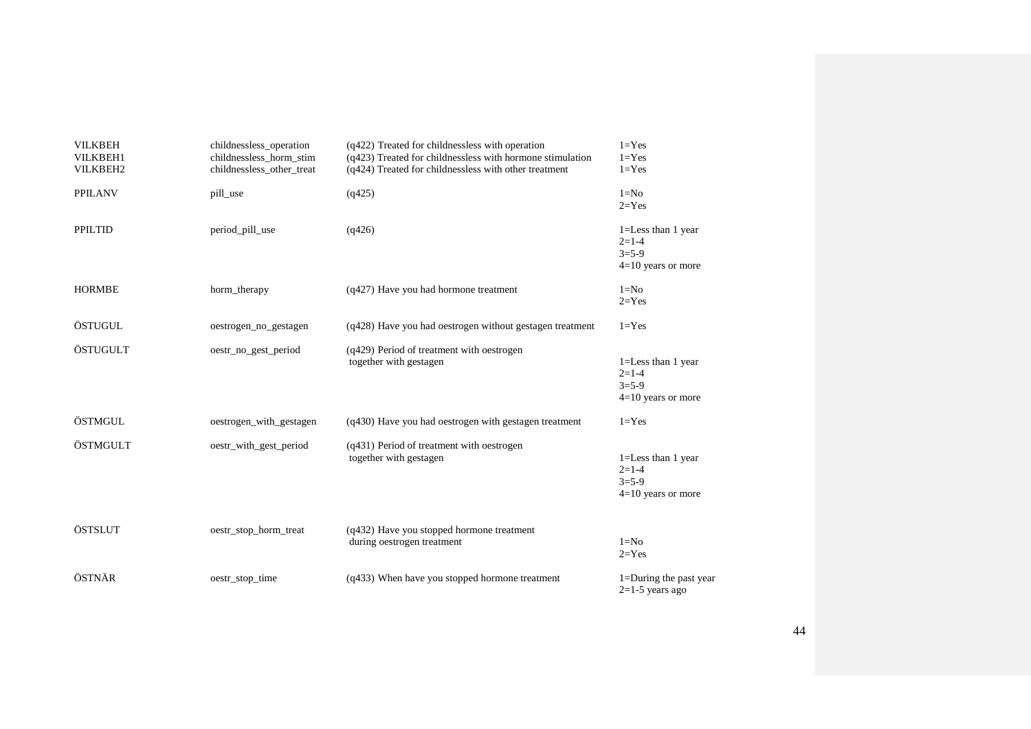| <b>VILKBEH</b><br><b>VILKBEH1</b><br>VILKBEH2 | childnessless_operation<br>childnessless_horm_stim<br>childnessless_other_treat | (q422) Treated for childnessless with operation<br>(q423) Treated for childnessless with hormone stimulation<br>(q424) Treated for childnessless with other treatment | $1 = Yes$<br>$1 = Yes$<br>$1 = Yes$                                      |
|-----------------------------------------------|---------------------------------------------------------------------------------|-----------------------------------------------------------------------------------------------------------------------------------------------------------------------|--------------------------------------------------------------------------|
| <b>PPILANV</b>                                | pill_use                                                                        | (q425)                                                                                                                                                                | $1 = No$<br>$2 = Yes$                                                    |
| <b>PPILTID</b>                                | period_pill_use                                                                 | (q426)                                                                                                                                                                | $1 =$ Less than 1 year<br>$2=1-4$<br>$3 = 5 - 9$<br>$4=10$ years or more |
| <b>HORMBE</b>                                 | horm_therapy                                                                    | (q427) Have you had hormone treatment                                                                                                                                 | $1 = No$<br>$2 = Yes$                                                    |
| ÖSTUGUL                                       | oestrogen_no_gestagen                                                           | (q428) Have you had oestrogen without gestagen treatment                                                                                                              | $1 = Yes$                                                                |
| ÖSTUGULT                                      | oestr_no_gest_period                                                            | (q429) Period of treatment with oestrogen<br>together with gestagen                                                                                                   | $1 =$ Less than 1 year<br>$2=1-4$<br>$3 = 5 - 9$<br>$4=10$ years or more |
| ÖSTMGUL                                       | oestrogen_with_gestagen                                                         | (q430) Have you had oestrogen with gestagen treatment                                                                                                                 | $1 = Yes$                                                                |
| ÖSTMGULT                                      | oestr_with_gest_period                                                          | (q431) Period of treatment with oestrogen<br>together with gestagen                                                                                                   | $1 =$ Less than 1 year<br>$2=1-4$<br>$3=5-9$<br>$4=10$ years or more     |
| ÖSTSLUT                                       | oestr_stop_horm_treat                                                           | (q432) Have you stopped hormone treatment<br>during oestrogen treatment                                                                                               | $1 = No$<br>$2 = Yes$                                                    |
| ÖSTNÄR                                        | oestr_stop_time                                                                 | (q433) When have you stopped hormone treatment                                                                                                                        | 1=During the past year<br>$2=1-5$ years ago                              |